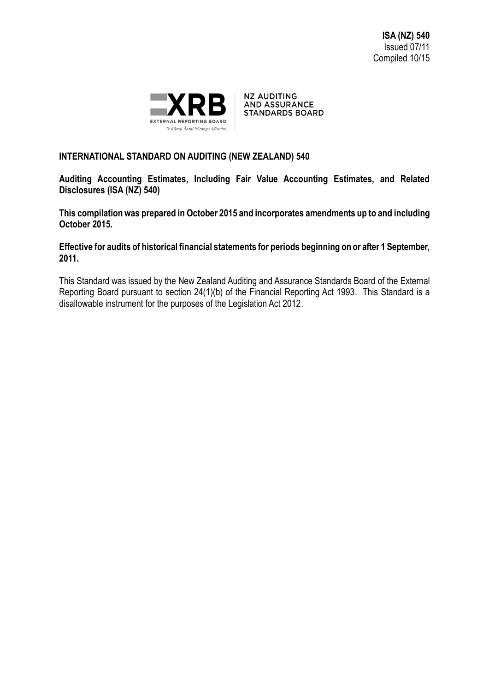

**NZ AUDITING AND ASSURANCE STANDARDS BOARD** 

# **INTERNATIONAL STANDARD ON AUDITING (NEW ZEALAND) 540**

**Auditing Accounting Estimates, Including Fair Value Accounting Estimates, and Related Disclosures (ISA (NZ) 540)**

**This compilation was prepared in October 2015 and incorporates amendments up to and including October 2015.**

**Effective for audits of historical financial statements for periods beginning on or after 1 September, 2011.**

This Standard was issued by the New Zealand Auditing and Assurance Standards Board of the External Reporting Board pursuant to section 24(1)(b) of the Financial Reporting Act 1993. This Standard is a disallowable instrument for the purposes of the Legislation Act 2012.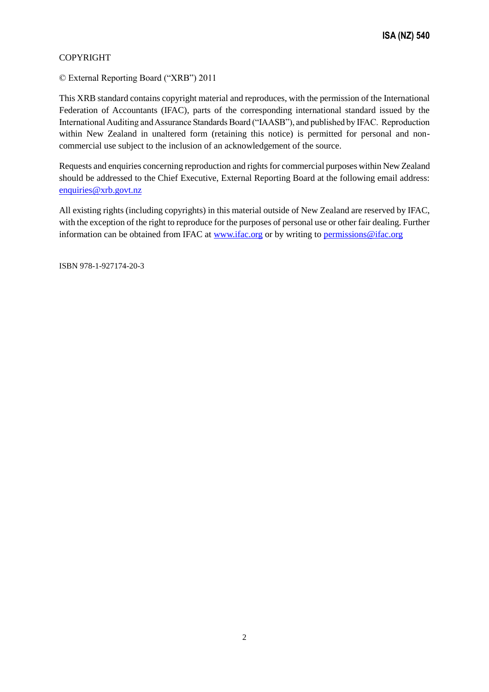#### COPYRIGHT

© External Reporting Board ("XRB") 2011

This XRB standard contains copyright material and reproduces, with the permission of the International Federation of Accountants (IFAC), parts of the corresponding international standard issued by the International Auditing and Assurance Standards Board ("IAASB"), and published by IFAC. Reproduction within New Zealand in unaltered form (retaining this notice) is permitted for personal and noncommercial use subject to the inclusion of an acknowledgement of the source.

Requests and enquiries concerning reproduction and rights for commercial purposes within New Zealand should be addressed to the Chief Executive, External Reporting Board at the following email address: [enquiries@xrb.govt.nz](mailto:enquiries@xrb.govt.nz)

All existing rights (including copyrights) in this material outside of New Zealand are reserved by IFAC, with the exception of the right to reproduce for the purposes of personal use or other fair dealing. Further information can be obtained from IFAC at [www.ifac.org](http://www.ifac.org/) or by writing to [permissions@ifac.org](mailto:permissions@ifac.org)

ISBN 978-1-927174-20-3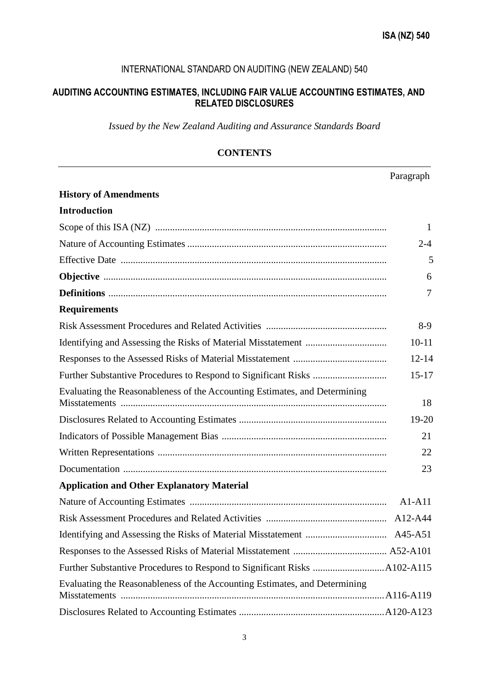#### INTERNATIONAL STANDARD ON AUDITING (NEW ZEALAND) 540

#### **AUDITING ACCOUNTING ESTIMATES, INCLUDING FAIR VALUE ACCOUNTING ESTIMATES, AND RELATED DISCLOSURES**

*Issued by the New Zealand Auditing and Assurance Standards Board* 

#### **CONTENTS**

#### Paragraph

# **History of Amendments Introduction** Scope of this ISA (NZ) .............................................................................................. 1 Nature of Accounting Estimates ................................................................................. 2-4 Effective Date ............................................................................................................ 5 **Objective** ................................................................................................................... 6 **Definitions** ................................................................................................................. 7 **Requirements** Risk Assessment Procedures and Related Activities ................................................. 8-9 Identifying and Assessing the Risks of Material Misstatement ................................. 10-11 Responses to the Assessed Risks of Material Misstatement ...................................... 12-14 Further Substantive Procedures to Respond to Significant Risks .............................. 15-17 Evaluating the Reasonableness of the Accounting Estimates, and Determining Misstatements ............................................................................................................ 18 Disclosures Related to Accounting Estimates ............................................................ 19-20 Indicators of Possible Management Bias ................................................................... 21 Written Representations ............................................................................................. 22 Documentation ........................................................................................................... 23 **Application and Other Explanatory Material** Nature of Accounting Estimates ................................................................................ A1-A11 Risk Assessment Procedures and Related Activities ................................................. A12-A44 Identifying and Assessing the Risks of Material Misstatement ................................. A45-A51 Responses to the Assessed Risks of Material Misstatement ...................................... A52-A101 Further Substantive Procedures to Respond to Significant Risks .............................A102-A115 Evaluating the Reasonableness of the Accounting Estimates, and Determining Misstatements ...........................................................................................................A116-A119 Disclosures Related to Accounting Estimates ...........................................................A120-A123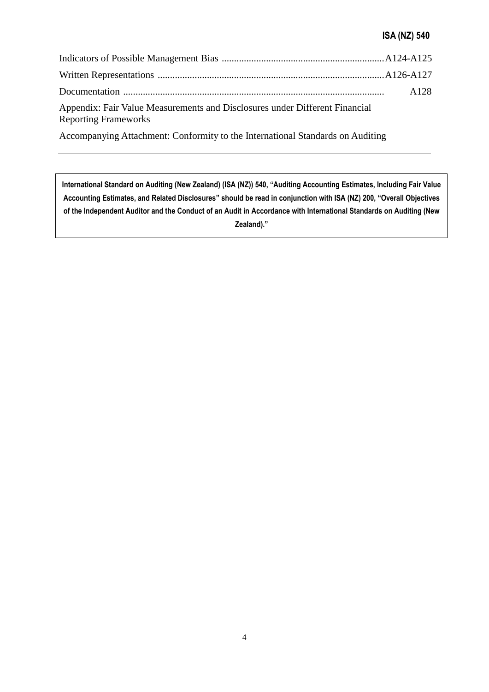# **ISA (NZ) 540**

|                                                                                                            | A128 |
|------------------------------------------------------------------------------------------------------------|------|
| Appendix: Fair Value Measurements and Disclosures under Different Financial<br><b>Reporting Frameworks</b> |      |

Accompanying Attachment: Conformity to the International Standards on Auditing

**International Standard on Auditing (New Zealand) (ISA (NZ)) 540, "Auditing Accounting Estimates, Including Fair Value Accounting Estimates, and Related Disclosures" should be read in conjunction with ISA (NZ) 200, "Overall Objectives of the Independent Auditor and the Conduct of an Audit in Accordance with International Standards on Auditing (New Zealand)."**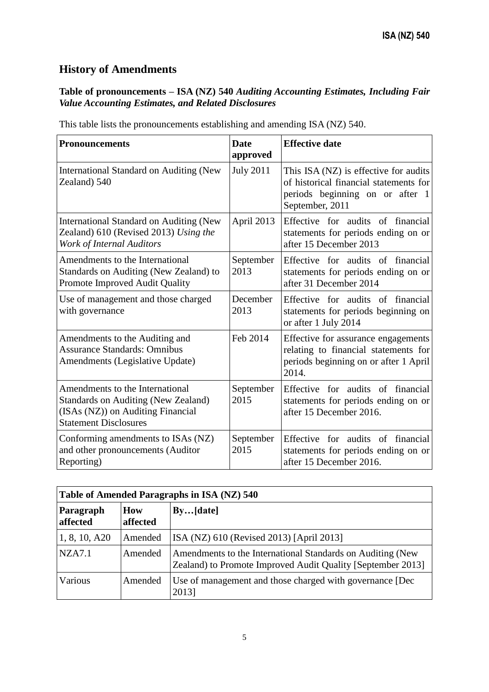# **History of Amendments**

# **Table of pronouncements – ISA (NZ) 540** *Auditing Accounting Estimates, Including Fair Value Accounting Estimates, and Related Disclosures*

| <b>Pronouncements</b>                                                                                                                              | <b>Date</b><br>approved | <b>Effective date</b>                                                                                                                 |
|----------------------------------------------------------------------------------------------------------------------------------------------------|-------------------------|---------------------------------------------------------------------------------------------------------------------------------------|
| International Standard on Auditing (New<br>Zealand) 540                                                                                            | <b>July 2011</b>        | This ISA (NZ) is effective for audits<br>of historical financial statements for<br>periods beginning on or after 1<br>September, 2011 |
| International Standard on Auditing (New<br>Zealand) 610 (Revised 2013) Using the<br><b>Work of Internal Auditors</b>                               | April 2013              | Effective for audits of financial<br>statements for periods ending on or<br>after 15 December 2013                                    |
| Amendments to the International<br>Standards on Auditing (New Zealand) to<br>Promote Improved Audit Quality                                        | September<br>2013       | Effective for audits of financial<br>statements for periods ending on or<br>after 31 December 2014                                    |
| Use of management and those charged<br>with governance                                                                                             | December<br>2013        | Effective for audits of financial<br>statements for periods beginning on<br>or after 1 July 2014                                      |
| Amendments to the Auditing and<br><b>Assurance Standards: Omnibus</b><br>Amendments (Legislative Update)                                           | Feb 2014                | Effective for assurance engagements<br>relating to financial statements for<br>periods beginning on or after 1 April<br>2014.         |
| Amendments to the International<br><b>Standards on Auditing (New Zealand)</b><br>(ISAs (NZ)) on Auditing Financial<br><b>Statement Disclosures</b> | September<br>2015       | Effective for audits of financial<br>statements for periods ending on or<br>after 15 December 2016.                                   |
| Conforming amendments to ISAs (NZ)<br>and other pronouncements (Auditor<br>Reporting)                                                              | September<br>2015       | Effective for audits of financial<br>statements for periods ending on or<br>after 15 December 2016.                                   |

This table lists the pronouncements establishing and amending ISA (NZ) 540.

| Table of Amended Paragraphs in ISA (NZ) 540 |                 |                                                                                                                           |  |  |
|---------------------------------------------|-----------------|---------------------------------------------------------------------------------------------------------------------------|--|--|
| Paragraph<br>affected                       | How<br>affected | By[date]                                                                                                                  |  |  |
| 1, 8, 10, A20                               | Amended         | ISA (NZ) 610 (Revised 2013) [April 2013]                                                                                  |  |  |
| NZA7.1                                      | Amended         | Amendments to the International Standards on Auditing (New<br>Zealand) to Promote Improved Audit Quality [September 2013] |  |  |
| Various                                     | Amended         | Use of management and those charged with governance [Dec]<br>2013]                                                        |  |  |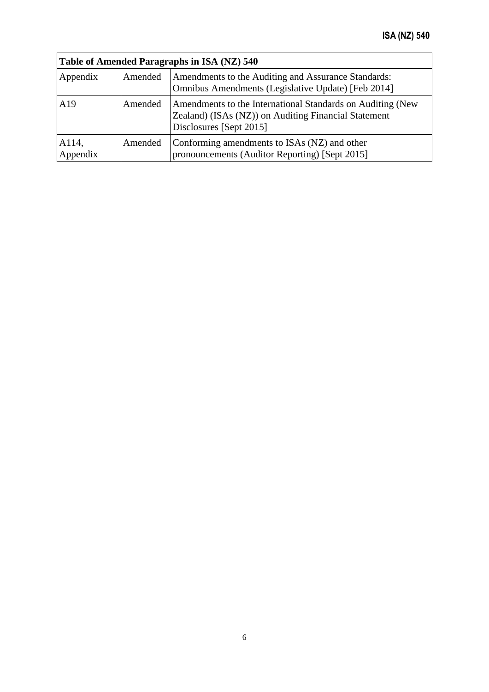| Table of Amended Paragraphs in ISA (NZ) 540 |         |                                                                                                                                               |  |  |
|---------------------------------------------|---------|-----------------------------------------------------------------------------------------------------------------------------------------------|--|--|
| Appendix                                    | Amended | Amendments to the Auditing and Assurance Standards:<br>Omnibus Amendments (Legislative Update) [Feb 2014]                                     |  |  |
| A19                                         | Amended | Amendments to the International Standards on Auditing (New<br>Zealand) (ISAs (NZ)) on Auditing Financial Statement<br>Disclosures [Sept 2015] |  |  |
| A114,<br>Appendix                           | Amended | Conforming amendments to ISAs (NZ) and other<br>pronouncements (Auditor Reporting) [Sept 2015]                                                |  |  |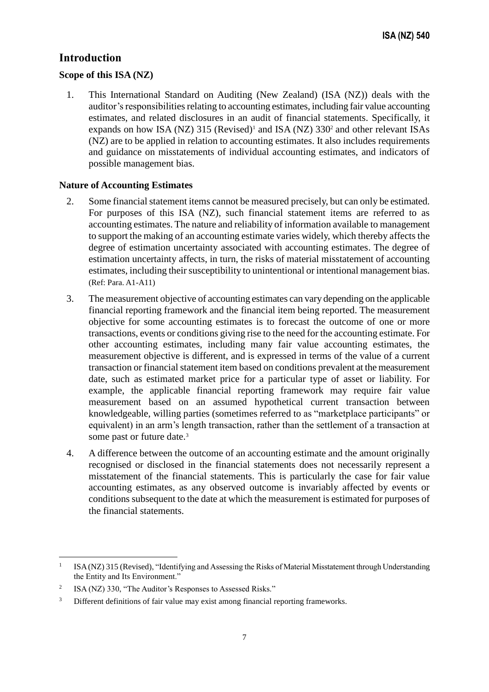# **Introduction**

#### **Scope of this ISA (NZ)**

1. This International Standard on Auditing (New Zealand) (ISA (NZ)) deals with the auditor's responsibilities relating to accounting estimates, including fair value accounting estimates, and related disclosures in an audit of financial statements. Specifically, it expands on how ISA (NZ) 315 (Revised)<sup>1</sup> and ISA (NZ) 330<sup>2</sup> and other relevant ISAs (NZ) are to be applied in relation to accounting estimates. It also includes requirements and guidance on misstatements of individual accounting estimates, and indicators of possible management bias.

#### **Nature of Accounting Estimates**

- 2. Some financial statement items cannot be measured precisely, but can only be estimated. For purposes of this ISA (NZ), such financial statement items are referred to as accounting estimates. The nature and reliability of information available to management to support the making of an accounting estimate varies widely, which thereby affects the degree of estimation uncertainty associated with accounting estimates. The degree of estimation uncertainty affects, in turn, the risks of material misstatement of accounting estimates, including their susceptibility to unintentional or intentional management bias. (Ref: Para. A1-A11)
- 3. The measurement objective of accounting estimates can vary depending on the applicable financial reporting framework and the financial item being reported. The measurement objective for some accounting estimates is to forecast the outcome of one or more transactions, events or conditions giving rise to the need for the accounting estimate. For other accounting estimates, including many fair value accounting estimates, the measurement objective is different, and is expressed in terms of the value of a current transaction or financial statement item based on conditions prevalent at the measurement date, such as estimated market price for a particular type of asset or liability. For example, the applicable financial reporting framework may require fair value measurement based on an assumed hypothetical current transaction between knowledgeable, willing parties (sometimes referred to as "marketplace participants" or equivalent) in an arm's length transaction, rather than the settlement of a transaction at some past or future date.<sup>3</sup>
- 4. A difference between the outcome of an accounting estimate and the amount originally recognised or disclosed in the financial statements does not necessarily represent a misstatement of the financial statements. This is particularly the case for fair value accounting estimates, as any observed outcome is invariably affected by events or conditions subsequent to the date at which the measurement is estimated for purposes of the financial statements.

<sup>1</sup> ISA (NZ) 315 (Revised), "Identifying and Assessing the Risks of Material Misstatement through Understanding the Entity and Its Environment."

<sup>2</sup> ISA (NZ) 330, "The Auditor's Responses to Assessed Risks."

<sup>&</sup>lt;sup>3</sup> Different definitions of fair value may exist among financial reporting frameworks.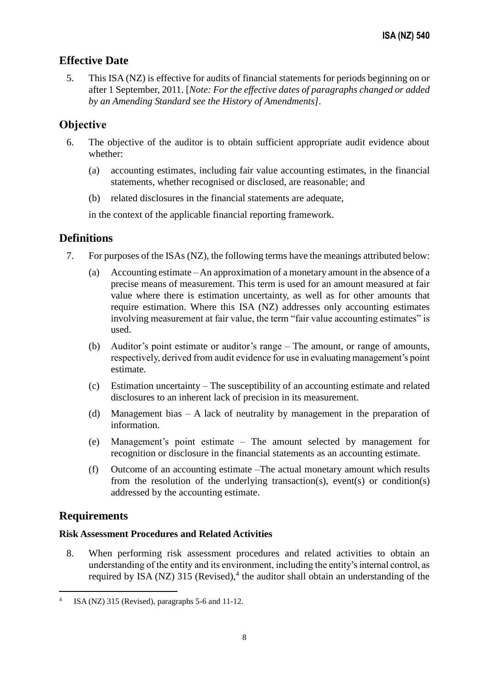# **Effective Date**

5. This ISA (NZ) is effective for audits of financial statements for periods beginning on or after 1 September, 2011. [*Note: For the effective dates of paragraphs changed or added by an Amending Standard see the History of Amendments].*

# **Objective**

- 6. The objective of the auditor is to obtain sufficient appropriate audit evidence about whether:
	- (a) accounting estimates, including fair value accounting estimates, in the financial statements, whether recognised or disclosed, are reasonable; and
	- (b) related disclosures in the financial statements are adequate,

in the context of the applicable financial reporting framework.

# **Definitions**

- 7. For purposes of the ISAs (NZ), the following terms have the meanings attributed below:
	- (a) Accounting estimate An approximation of a monetary amount in the absence of a precise means of measurement. This term is used for an amount measured at fair value where there is estimation uncertainty, as well as for other amounts that require estimation. Where this ISA (NZ) addresses only accounting estimates involving measurement at fair value, the term "fair value accounting estimates" is used.
	- (b) Auditor's point estimate or auditor's range The amount, or range of amounts, respectively, derived from audit evidence for use in evaluating management's point estimate.
	- (c) Estimation uncertainty The susceptibility of an accounting estimate and related disclosures to an inherent lack of precision in its measurement.
	- (d) Management bias A lack of neutrality by management in the preparation of information.
	- (e) Management's point estimate The amount selected by management for recognition or disclosure in the financial statements as an accounting estimate.
	- (f) Outcome of an accounting estimate –The actual monetary amount which results from the resolution of the underlying transaction(s), event(s) or condition(s) addressed by the accounting estimate.

# **Requirements**

1

# **Risk Assessment Procedures and Related Activities**

8. When performing risk assessment procedures and related activities to obtain an understanding of the entity and its environment, including the entity's internal control, as required by ISA (NZ) 315 (Revised),<sup>4</sup> the auditor shall obtain an understanding of the

<sup>&</sup>lt;sup>4</sup> ISA (NZ) 315 (Revised), paragraphs 5-6 and 11-12.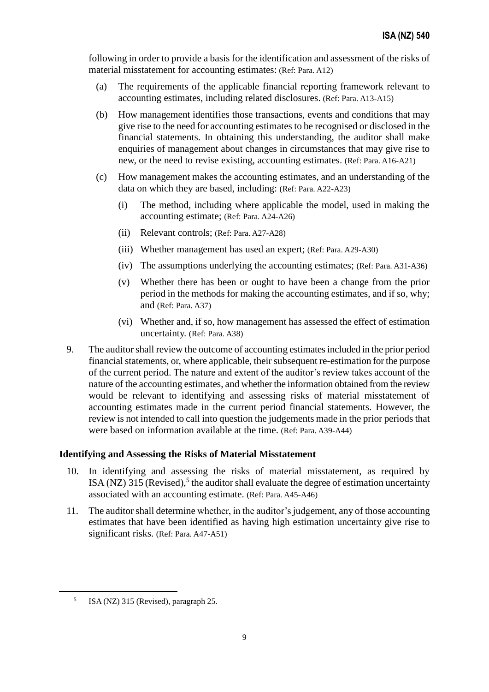following in order to provide a basis for the identification and assessment of the risks of material misstatement for accounting estimates: (Ref: Para. A12)

- (a) The requirements of the applicable financial reporting framework relevant to accounting estimates, including related disclosures. (Ref: Para. A13-A15)
- (b) How management identifies those transactions, events and conditions that may give rise to the need for accounting estimates to be recognised or disclosed in the financial statements. In obtaining this understanding, the auditor shall make enquiries of management about changes in circumstances that may give rise to new, or the need to revise existing, accounting estimates. (Ref: Para. A16-A21)
- (c) How management makes the accounting estimates, and an understanding of the data on which they are based, including: (Ref: Para. A22-A23)
	- (i) The method, including where applicable the model, used in making the accounting estimate; (Ref: Para. A24-A26)
	- (ii) Relevant controls; (Ref: Para. A27-A28)
	- (iii) Whether management has used an expert; (Ref: Para. A29-A30)
	- (iv) The assumptions underlying the accounting estimates; (Ref: Para. A31-A36)
	- (v) Whether there has been or ought to have been a change from the prior period in the methods for making the accounting estimates, and if so, why; and (Ref: Para. A37)
	- (vi) Whether and, if so, how management has assessed the effect of estimation uncertainty. (Ref: Para. A38)
- 9. The auditor shall review the outcome of accounting estimates included in the prior period financial statements, or, where applicable, their subsequent re-estimation for the purpose of the current period. The nature and extent of the auditor's review takes account of the nature of the accounting estimates, and whether the information obtained from the review would be relevant to identifying and assessing risks of material misstatement of accounting estimates made in the current period financial statements. However, the review is not intended to call into question the judgements made in the prior periods that were based on information available at the time. (Ref: Para. A39-A44)

#### **Identifying and Assessing the Risks of Material Misstatement**

- 10. In identifying and assessing the risks of material misstatement, as required by ISA (NZ) 315 (Revised),<sup>5</sup> the auditor shall evaluate the degree of estimation uncertainty associated with an accounting estimate. (Ref: Para. A45-A46)
- 11. The auditor shall determine whether, in the auditor's judgement, any of those accounting estimates that have been identified as having high estimation uncertainty give rise to significant risks. (Ref: Para. A47-A51)

<sup>&</sup>lt;sup>5</sup> ISA (NZ) 315 (Revised), paragraph 25.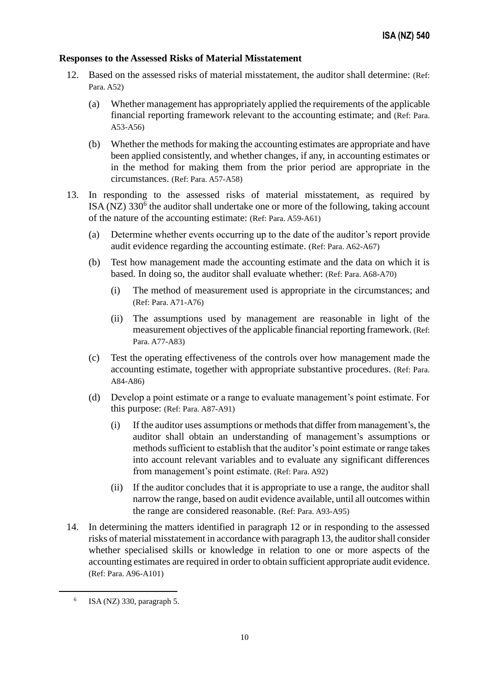#### **Responses to the Assessed Risks of Material Misstatement**

- 12. Based on the assessed risks of material misstatement, the auditor shall determine: (Ref: Para. A52)
	- (a) Whether management has appropriately applied the requirements of the applicable financial reporting framework relevant to the accounting estimate; and (Ref: Para. A53-A56)
	- (b) Whether the methods for making the accounting estimates are appropriate and have been applied consistently, and whether changes, if any, in accounting estimates or in the method for making them from the prior period are appropriate in the circumstances. (Ref: Para. A57-A58)
- 13. In responding to the assessed risks of material misstatement, as required by ISA (NZ)  $330^6$  the auditor shall undertake one or more of the following, taking account of the nature of the accounting estimate: (Ref: Para. A59-A61)
	- (a) Determine whether events occurring up to the date of the auditor's report provide audit evidence regarding the accounting estimate. (Ref: Para. A62-A67)
	- (b) Test how management made the accounting estimate and the data on which it is based. In doing so, the auditor shall evaluate whether: (Ref: Para. A68-A70)
		- (i) The method of measurement used is appropriate in the circumstances; and (Ref: Para. A71-A76)
		- (ii) The assumptions used by management are reasonable in light of the measurement objectives of the applicable financial reporting framework. (Ref: Para. A77-A83)
	- (c) Test the operating effectiveness of the controls over how management made the accounting estimate, together with appropriate substantive procedures. (Ref: Para. A84-A86)
	- (d) Develop a point estimate or a range to evaluate management's point estimate. For this purpose: (Ref: Para. A87-A91)
		- (i) If the auditor uses assumptions or methodsthat differ from management's, the auditor shall obtain an understanding of management's assumptions or methods sufficient to establish that the auditor's point estimate or range takes into account relevant variables and to evaluate any significant differences from management's point estimate. (Ref: Para. A92)
		- (ii) If the auditor concludes that it is appropriate to use a range, the auditor shall narrow the range, based on audit evidence available, until all outcomes within the range are considered reasonable. (Ref: Para. A93-A95)
- 14. In determining the matters identified in paragraph 12 or in responding to the assessed risks of material misstatement in accordance with paragraph 13, the auditor shall consider whether specialised skills or knowledge in relation to one or more aspects of the accounting estimates are required in order to obtain sufficient appropriate audit evidence. (Ref: Para. A96-A101)

<sup>6</sup> ISA (NZ) 330, paragraph 5.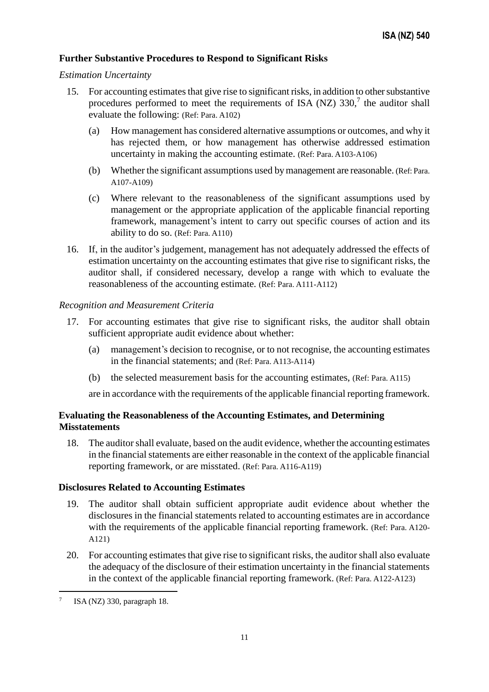### **Further Substantive Procedures to Respond to Significant Risks**

#### *Estimation Uncertainty*

- 15. For accounting estimates that give rise to significant risks, in addition to other substantive procedures performed to meet the requirements of ISA (NZ)  $330$ ,<sup>7</sup> the auditor shall evaluate the following: (Ref: Para. A102)
	- (a) How management has considered alternative assumptions or outcomes, and why it has rejected them, or how management has otherwise addressed estimation uncertainty in making the accounting estimate. (Ref: Para. A103-A106)
	- (b) Whether the significant assumptions used by management are reasonable. (Ref: Para. A107-A109)
	- (c) Where relevant to the reasonableness of the significant assumptions used by management or the appropriate application of the applicable financial reporting framework, management's intent to carry out specific courses of action and its ability to do so. (Ref: Para. A110)
- 16. If, in the auditor's judgement, management has not adequately addressed the effects of estimation uncertainty on the accounting estimates that give rise to significant risks, the auditor shall, if considered necessary, develop a range with which to evaluate the reasonableness of the accounting estimate. (Ref: Para. A111-A112)

### *Recognition and Measurement Criteria*

- 17. For accounting estimates that give rise to significant risks, the auditor shall obtain sufficient appropriate audit evidence about whether:
	- (a) management's decision to recognise, or to not recognise, the accounting estimates in the financial statements; and (Ref: Para. A113-A114)
	- (b) the selected measurement basis for the accounting estimates, (Ref: Para. A115)

are in accordance with the requirements of the applicable financial reporting framework.

### **Evaluating the Reasonableness of the Accounting Estimates, and Determining Misstatements**

18. The auditor shall evaluate, based on the audit evidence, whether the accounting estimates in the financial statements are either reasonable in the context of the applicable financial reporting framework, or are misstated. (Ref: Para. A116-A119)

#### **Disclosures Related to Accounting Estimates**

- 19. The auditor shall obtain sufficient appropriate audit evidence about whether the disclosures in the financial statements related to accounting estimates are in accordance with the requirements of the applicable financial reporting framework. (Ref: Para. A120-A121)
- 20. For accounting estimates that give rise to significant risks, the auditor shall also evaluate the adequacy of the disclosure of their estimation uncertainty in the financial statements in the context of the applicable financial reporting framework. (Ref: Para. A122-A123)

<sup>7</sup> ISA (NZ) 330, paragraph 18.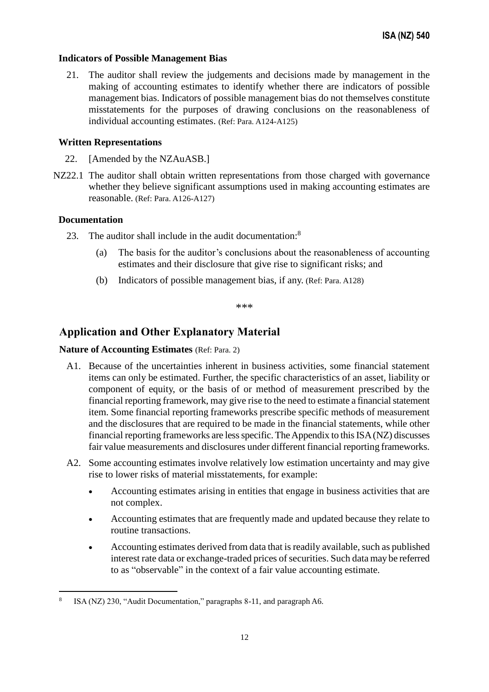#### **Indicators of Possible Management Bias**

21. The auditor shall review the judgements and decisions made by management in the making of accounting estimates to identify whether there are indicators of possible management bias. Indicators of possible management bias do not themselves constitute misstatements for the purposes of drawing conclusions on the reasonableness of individual accounting estimates. (Ref: Para. A124-A125)

#### **Written Representations**

- 22. [Amended by the NZAuASB.]
- NZ22.1 The auditor shall obtain written representations from those charged with governance whether they believe significant assumptions used in making accounting estimates are reasonable. (Ref: Para. A126-A127)

#### **Documentation**

1

- 23. The auditor shall include in the audit documentation: $8$ 
	- (a) The basis for the auditor's conclusions about the reasonableness of accounting estimates and their disclosure that give rise to significant risks; and
	- (b) Indicators of possible management bias, if any. (Ref: Para. A128)

\*\*\*

# **Application and Other Explanatory Material**

#### **Nature of Accounting Estimates** (Ref: Para. 2)

- A1. Because of the uncertainties inherent in business activities, some financial statement items can only be estimated. Further, the specific characteristics of an asset, liability or component of equity, or the basis of or method of measurement prescribed by the financial reporting framework, may give rise to the need to estimate a financial statement item. Some financial reporting frameworks prescribe specific methods of measurement and the disclosures that are required to be made in the financial statements, while other financial reporting frameworks are less specific. The Appendix to this ISA (NZ) discusses fair value measurements and disclosures under different financial reporting frameworks.
- A2. Some accounting estimates involve relatively low estimation uncertainty and may give rise to lower risks of material misstatements, for example:
	- Accounting estimates arising in entities that engage in business activities that are not complex.
	- Accounting estimates that are frequently made and updated because they relate to routine transactions.
	- Accounting estimates derived from data that is readily available, such as published interest rate data or exchange-traded prices of securities. Such data may be referred to as "observable" in the context of a fair value accounting estimate.

<sup>&</sup>lt;sup>8</sup> ISA (NZ) 230, "Audit Documentation," paragraphs 8-11, and paragraph A6.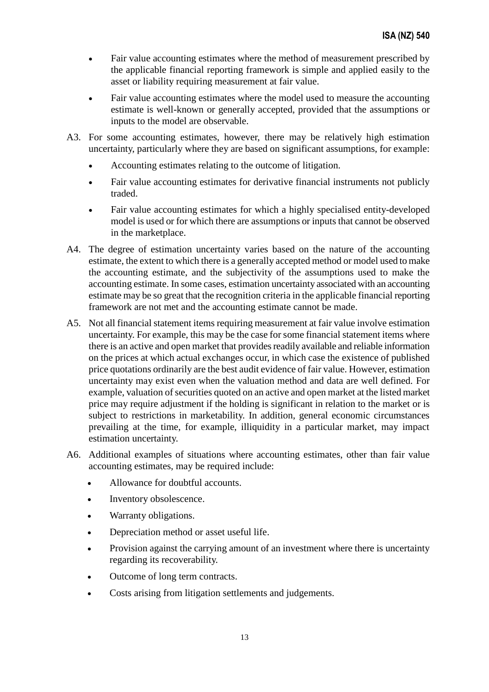- Fair value accounting estimates where the method of measurement prescribed by the applicable financial reporting framework is simple and applied easily to the asset or liability requiring measurement at fair value.
- Fair value accounting estimates where the model used to measure the accounting estimate is well-known or generally accepted, provided that the assumptions or inputs to the model are observable.
- A3. For some accounting estimates, however, there may be relatively high estimation uncertainty, particularly where they are based on significant assumptions, for example:
	- Accounting estimates relating to the outcome of litigation.
	- Fair value accounting estimates for derivative financial instruments not publicly traded.
	- Fair value accounting estimates for which a highly specialised entity-developed model is used or for which there are assumptions or inputs that cannot be observed in the marketplace.
- A4. The degree of estimation uncertainty varies based on the nature of the accounting estimate, the extent to which there is a generally accepted method or model used to make the accounting estimate, and the subjectivity of the assumptions used to make the accounting estimate. In some cases, estimation uncertainty associated with an accounting estimate may be so great that the recognition criteria in the applicable financial reporting framework are not met and the accounting estimate cannot be made.
- A5. Not all financial statement items requiring measurement at fair value involve estimation uncertainty. For example, this may be the case for some financial statement items where there is an active and open market that provides readily available and reliable information on the prices at which actual exchanges occur, in which case the existence of published price quotations ordinarily are the best audit evidence of fair value. However, estimation uncertainty may exist even when the valuation method and data are well defined. For example, valuation of securities quoted on an active and open market at the listed market price may require adjustment if the holding is significant in relation to the market or is subject to restrictions in marketability. In addition, general economic circumstances prevailing at the time, for example, illiquidity in a particular market, may impact estimation uncertainty.
- A6. Additional examples of situations where accounting estimates, other than fair value accounting estimates, may be required include:
	- Allowance for doubtful accounts.
	- Inventory obsolescence.
	- Warranty obligations.
	- Depreciation method or asset useful life.
	- Provision against the carrying amount of an investment where there is uncertainty regarding its recoverability.
	- Outcome of long term contracts.
	- Costs arising from litigation settlements and judgements.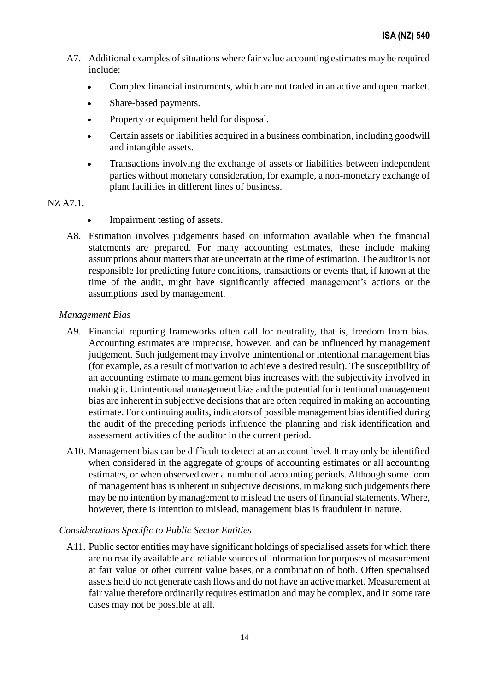- A7. Additional examples of situations where fair value accounting estimates may be required include:
	- Complex financial instruments, which are not traded in an active and open market.
	- Share-based payments.
	- Property or equipment held for disposal.
	- Certain assets or liabilities acquired in a business combination, including goodwill and intangible assets.
	- Transactions involving the exchange of assets or liabilities between independent parties without monetary consideration, for example, a non-monetary exchange of plant facilities in different lines of business.

### NZ A7.1.

- Impairment testing of assets.
- A8. Estimation involves judgements based on information available when the financial statements are prepared. For many accounting estimates, these include making assumptions about matters that are uncertain at the time of estimation. The auditor is not responsible for predicting future conditions, transactions or events that, if known at the time of the audit, might have significantly affected management's actions or the assumptions used by management.

### *Management Bias*

- A9. Financial reporting frameworks often call for neutrality, that is, freedom from bias. Accounting estimates are imprecise, however, and can be influenced by management judgement. Such judgement may involve unintentional or intentional management bias (for example, as a result of motivation to achieve a desired result). The susceptibility of an accounting estimate to management bias increases with the subjectivity involved in making it. Unintentional management bias and the potential for intentional management bias are inherent in subjective decisions that are often required in making an accounting estimate. For continuing audits, indicators of possible management bias identified during the audit of the preceding periods influence the planning and risk identification and assessment activities of the auditor in the current period.
- A10. Management bias can be difficult to detect at an account level. It may only be identified when considered in the aggregate of groups of accounting estimates or all accounting estimates, or when observed over a number of accounting periods. Although some form of management bias is inherent in subjective decisions, in making such judgements there may be no intention by management to mislead the users of financial statements. Where, however, there is intention to mislead, management bias is fraudulent in nature.

#### *Considerations Specific to Public Sector Entities*

A11. Public sector entities may have significant holdings of specialised assets for which there are no readily available and reliable sources of information for purposes of measurement at fair value or other current value bases, or a combination of both. Often specialised assets held do not generate cash flows and do not have an active market. Measurement at fair value therefore ordinarily requires estimation and may be complex, and in some rare cases may not be possible at all.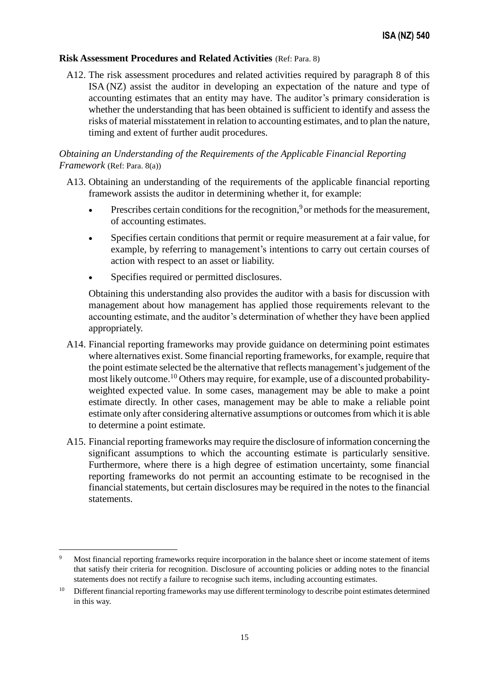#### **Risk Assessment Procedures and Related Activities** (Ref: Para. 8)

A12. The risk assessment procedures and related activities required by paragraph 8 of this ISA (NZ) assist the auditor in developing an expectation of the nature and type of accounting estimates that an entity may have. The auditor's primary consideration is whether the understanding that has been obtained is sufficient to identify and assess the risks of material misstatement in relation to accounting estimates, and to plan the nature, timing and extent of further audit procedures.

# *Obtaining an Understanding of the Requirements of the Applicable Financial Reporting Framework* (Ref: Para. 8(a))

- A13. Obtaining an understanding of the requirements of the applicable financial reporting framework assists the auditor in determining whether it, for example:
	- $\bullet$  Prescribes certain conditions for the recognition,<sup>9</sup> or methods for the measurement, of accounting estimates.
	- Specifies certain conditions that permit or require measurement at a fair value, for example, by referring to management's intentions to carry out certain courses of action with respect to an asset or liability.
	- Specifies required or permitted disclosures.

1

Obtaining this understanding also provides the auditor with a basis for discussion with management about how management has applied those requirements relevant to the accounting estimate, and the auditor's determination of whether they have been applied appropriately.

- A14. Financial reporting frameworks may provide guidance on determining point estimates where alternatives exist. Some financial reporting frameworks, for example, require that the point estimate selected be the alternative that reflects management's judgement of the most likely outcome.<sup>10</sup> Others may require, for example, use of a discounted probabilityweighted expected value. In some cases, management may be able to make a point estimate directly. In other cases, management may be able to make a reliable point estimate only after considering alternative assumptions or outcomes from which it is able to determine a point estimate.
- A15. Financial reporting frameworks may require the disclosure of information concerning the significant assumptions to which the accounting estimate is particularly sensitive. Furthermore, where there is a high degree of estimation uncertainty, some financial reporting frameworks do not permit an accounting estimate to be recognised in the financial statements, but certain disclosures may be required in the notes to the financial statements.

<sup>9</sup> Most financial reporting frameworks require incorporation in the balance sheet or income statement of items that satisfy their criteria for recognition. Disclosure of accounting policies or adding notes to the financial statements does not rectify a failure to recognise such items, including accounting estimates.

<sup>&</sup>lt;sup>10</sup> Different financial reporting frameworks may use different terminology to describe point estimates determined in this way.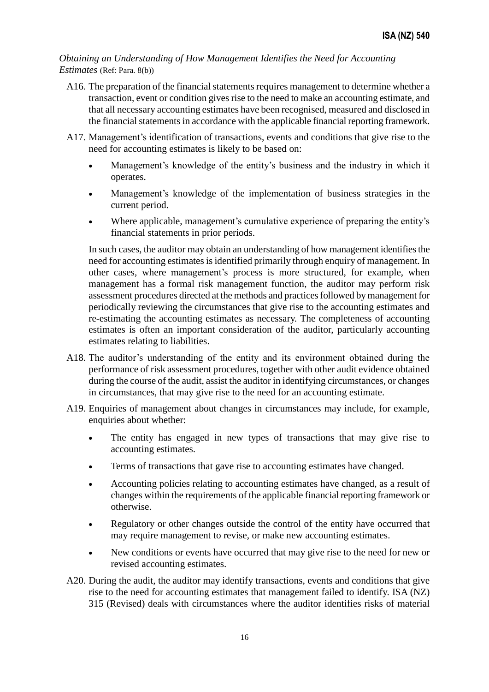*Obtaining an Understanding of How Management Identifies the Need for Accounting Estimates* (Ref: Para. 8(b))

- A16. The preparation of the financial statements requires management to determine whether a transaction, event or condition gives rise to the need to make an accounting estimate, and that all necessary accounting estimates have been recognised, measured and disclosed in the financial statements in accordance with the applicable financial reporting framework.
- A17. Management's identification of transactions, events and conditions that give rise to the need for accounting estimates is likely to be based on:
	- Management's knowledge of the entity's business and the industry in which it operates.
	- Management's knowledge of the implementation of business strategies in the current period.
	- Where applicable, management's cumulative experience of preparing the entity's financial statements in prior periods.

In such cases, the auditor may obtain an understanding of how management identifies the need for accounting estimates is identified primarily through enquiry of management. In other cases, where management's process is more structured, for example, when management has a formal risk management function, the auditor may perform risk assessment procedures directed at the methods and practices followed by management for periodically reviewing the circumstances that give rise to the accounting estimates and re-estimating the accounting estimates as necessary. The completeness of accounting estimates is often an important consideration of the auditor, particularly accounting estimates relating to liabilities.

- A18. The auditor's understanding of the entity and its environment obtained during the performance of risk assessment procedures, together with other audit evidence obtained during the course of the audit, assist the auditor in identifying circumstances, or changes in circumstances, that may give rise to the need for an accounting estimate.
- A19. Enquiries of management about changes in circumstances may include, for example, enquiries about whether:
	- The entity has engaged in new types of transactions that may give rise to accounting estimates.
	- Terms of transactions that gave rise to accounting estimates have changed.
	- Accounting policies relating to accounting estimates have changed, as a result of changes within the requirements of the applicable financial reporting framework or otherwise.
	- Regulatory or other changes outside the control of the entity have occurred that may require management to revise, or make new accounting estimates.
	- New conditions or events have occurred that may give rise to the need for new or revised accounting estimates.
- A20. During the audit, the auditor may identify transactions, events and conditions that give rise to the need for accounting estimates that management failed to identify. ISA (NZ) 315 (Revised) deals with circumstances where the auditor identifies risks of material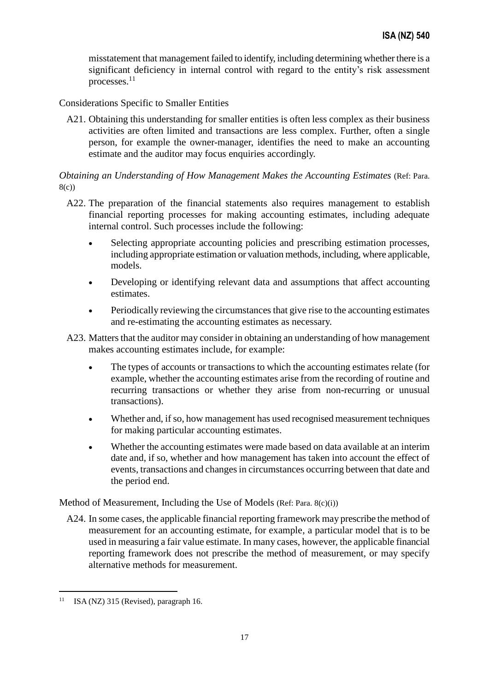misstatement that management failed to identify, including determining whether there is a significant deficiency in internal control with regard to the entity's risk assessment processes.<sup>11</sup>

Considerations Specific to Smaller Entities

A21. Obtaining this understanding for smaller entities is often less complex as their business activities are often limited and transactions are less complex. Further, often a single person, for example the owner-manager, identifies the need to make an accounting estimate and the auditor may focus enquiries accordingly.

#### *Obtaining an Understanding of How Management Makes the Accounting Estimates* (Ref: Para. 8(c))

- A22. The preparation of the financial statements also requires management to establish financial reporting processes for making accounting estimates, including adequate internal control. Such processes include the following:
	- Selecting appropriate accounting policies and prescribing estimation processes, including appropriate estimation or valuation methods, including, where applicable, models.
	- Developing or identifying relevant data and assumptions that affect accounting estimates.
	- Periodically reviewing the circumstances that give rise to the accounting estimates and re-estimating the accounting estimates as necessary.
- A23. Matters that the auditor may consider in obtaining an understanding of how management makes accounting estimates include, for example:
	- The types of accounts or transactions to which the accounting estimates relate (for example, whether the accounting estimates arise from the recording of routine and recurring transactions or whether they arise from non-recurring or unusual transactions).
	- Whether and, if so, how management has used recognised measurement techniques for making particular accounting estimates.
	- Whether the accounting estimates were made based on data available at an interim date and, if so, whether and how management has taken into account the effect of events, transactions and changes in circumstances occurring between that date and the period end.

Method of Measurement, Including the Use of Models (Ref: Para. 8(c)(i))

A24. In some cases, the applicable financial reporting framework may prescribe the method of measurement for an accounting estimate, for example, a particular model that is to be used in measuring a fair value estimate. In many cases, however, the applicable financial reporting framework does not prescribe the method of measurement, or may specify alternative methods for measurement.

<sup>&</sup>lt;sup>11</sup> ISA (NZ) 315 (Revised), paragraph 16.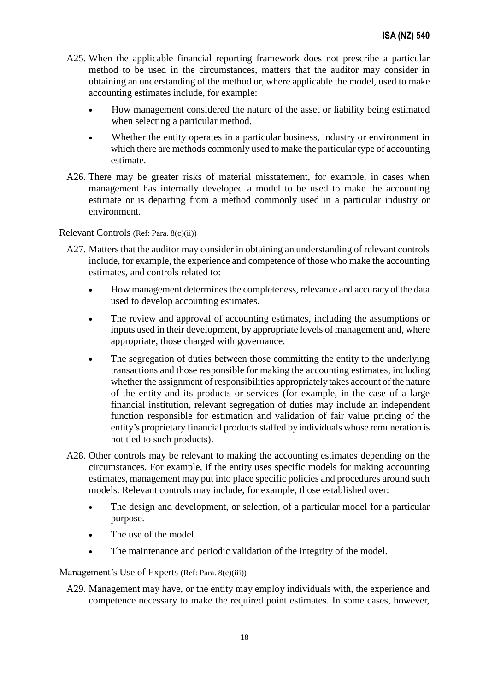- A25. When the applicable financial reporting framework does not prescribe a particular method to be used in the circumstances, matters that the auditor may consider in obtaining an understanding of the method or, where applicable the model, used to make accounting estimates include, for example:
	- How management considered the nature of the asset or liability being estimated when selecting a particular method.
	- Whether the entity operates in a particular business, industry or environment in which there are methods commonly used to make the particular type of accounting estimate.
- A26. There may be greater risks of material misstatement, for example, in cases when management has internally developed a model to be used to make the accounting estimate or is departing from a method commonly used in a particular industry or environment.

Relevant Controls (Ref: Para. 8(c)(ii))

- A27. Matters that the auditor may consider in obtaining an understanding of relevant controls include, for example, the experience and competence of those who make the accounting estimates, and controls related to:
	- How management determines the completeness, relevance and accuracy of the data used to develop accounting estimates.
	- The review and approval of accounting estimates, including the assumptions or inputs used in their development, by appropriate levels of management and, where appropriate, those charged with governance.
	- The segregation of duties between those committing the entity to the underlying transactions and those responsible for making the accounting estimates, including whether the assignment of responsibilities appropriately takes account of the nature of the entity and its products or services (for example, in the case of a large financial institution, relevant segregation of duties may include an independent function responsible for estimation and validation of fair value pricing of the entity's proprietary financial products staffed by individuals whose remuneration is not tied to such products).
- A28. Other controls may be relevant to making the accounting estimates depending on the circumstances. For example, if the entity uses specific models for making accounting estimates, management may put into place specific policies and procedures around such models. Relevant controls may include, for example, those established over:
	- The design and development, or selection, of a particular model for a particular purpose.
	- The use of the model.
	- The maintenance and periodic validation of the integrity of the model.

Management's Use of Experts (Ref: Para. 8(c)(iii))

A29. Management may have, or the entity may employ individuals with, the experience and competence necessary to make the required point estimates. In some cases, however,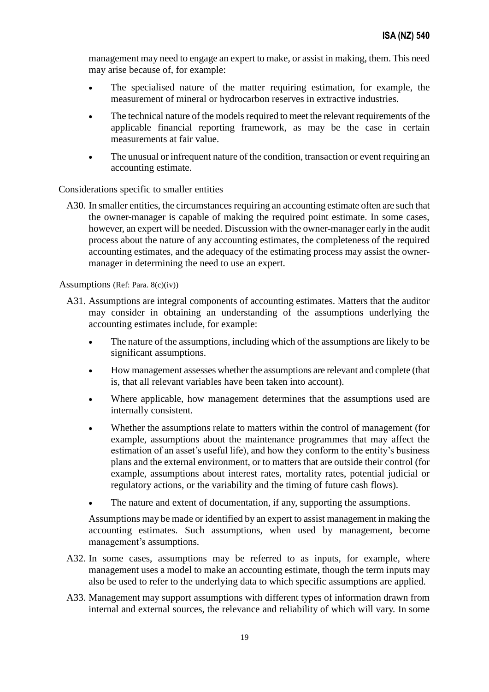management may need to engage an expert to make, or assist in making, them. This need may arise because of, for example:

- The specialised nature of the matter requiring estimation, for example, the measurement of mineral or hydrocarbon reserves in extractive industries.
- The technical nature of the models required to meet the relevant requirements of the applicable financial reporting framework, as may be the case in certain measurements at fair value.
- The unusual or infrequent nature of the condition, transaction or event requiring an accounting estimate.

Considerations specific to smaller entities

A30. In smaller entities, the circumstances requiring an accounting estimate often are such that the owner-manager is capable of making the required point estimate. In some cases, however, an expert will be needed. Discussion with the owner-manager early in the audit process about the nature of any accounting estimates, the completeness of the required accounting estimates, and the adequacy of the estimating process may assist the ownermanager in determining the need to use an expert.

Assumptions (Ref: Para. 8(c)(iv))

- A31. Assumptions are integral components of accounting estimates. Matters that the auditor may consider in obtaining an understanding of the assumptions underlying the accounting estimates include, for example:
	- The nature of the assumptions, including which of the assumptions are likely to be significant assumptions.
	- How management assesses whether the assumptions are relevant and complete (that is, that all relevant variables have been taken into account).
	- Where applicable, how management determines that the assumptions used are internally consistent.
	- Whether the assumptions relate to matters within the control of management (for example, assumptions about the maintenance programmes that may affect the estimation of an asset's useful life), and how they conform to the entity's business plans and the external environment, or to matters that are outside their control (for example, assumptions about interest rates, mortality rates, potential judicial or regulatory actions, or the variability and the timing of future cash flows).
	- The nature and extent of documentation, if any, supporting the assumptions.

Assumptions may be made or identified by an expert to assist management in making the accounting estimates. Such assumptions, when used by management, become management's assumptions.

- A32. In some cases, assumptions may be referred to as inputs, for example, where management uses a model to make an accounting estimate, though the term inputs may also be used to refer to the underlying data to which specific assumptions are applied.
- A33. Management may support assumptions with different types of information drawn from internal and external sources, the relevance and reliability of which will vary. In some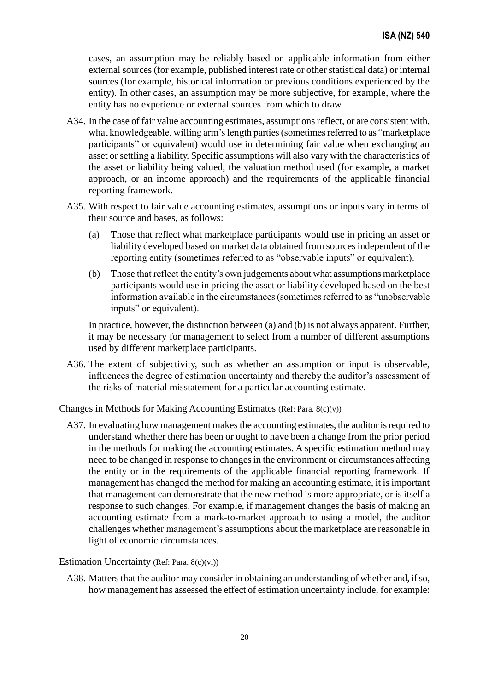cases, an assumption may be reliably based on applicable information from either external sources (for example, published interest rate or other statistical data) or internal sources (for example, historical information or previous conditions experienced by the entity). In other cases, an assumption may be more subjective, for example, where the entity has no experience or external sources from which to draw.

- A34. In the case of fair value accounting estimates, assumptions reflect, or are consistent with, what knowledgeable, willing arm's length parties (sometimes referred to as "marketplace participants" or equivalent) would use in determining fair value when exchanging an asset or settling a liability. Specific assumptions will also vary with the characteristics of the asset or liability being valued, the valuation method used (for example, a market approach, or an income approach) and the requirements of the applicable financial reporting framework.
- A35. With respect to fair value accounting estimates, assumptions or inputs vary in terms of their source and bases, as follows:
	- (a) Those that reflect what marketplace participants would use in pricing an asset or liability developed based on market data obtained from sources independent of the reporting entity (sometimes referred to as "observable inputs" or equivalent).
	- (b) Those that reflect the entity's own judgements about what assumptions marketplace participants would use in pricing the asset or liability developed based on the best information available in the circumstances (sometimes referred to as "unobservable inputs" or equivalent).

In practice, however, the distinction between (a) and (b) is not always apparent. Further, it may be necessary for management to select from a number of different assumptions used by different marketplace participants.

A36. The extent of subjectivity, such as whether an assumption or input is observable, influences the degree of estimation uncertainty and thereby the auditor's assessment of the risks of material misstatement for a particular accounting estimate.

Changes in Methods for Making Accounting Estimates (Ref: Para. 8(c)(v))

A37. In evaluating how management makes the accounting estimates, the auditor is required to understand whether there has been or ought to have been a change from the prior period in the methods for making the accounting estimates. A specific estimation method may need to be changed in response to changes in the environment or circumstances affecting the entity or in the requirements of the applicable financial reporting framework. If management has changed the method for making an accounting estimate, it is important that management can demonstrate that the new method is more appropriate, or is itself a response to such changes. For example, if management changes the basis of making an accounting estimate from a mark-to-market approach to using a model, the auditor challenges whether management's assumptions about the marketplace are reasonable in light of economic circumstances.

Estimation Uncertainty (Ref: Para. 8(c)(vi))

A38. Matters that the auditor may consider in obtaining an understanding of whether and, if so, how management has assessed the effect of estimation uncertainty include, for example: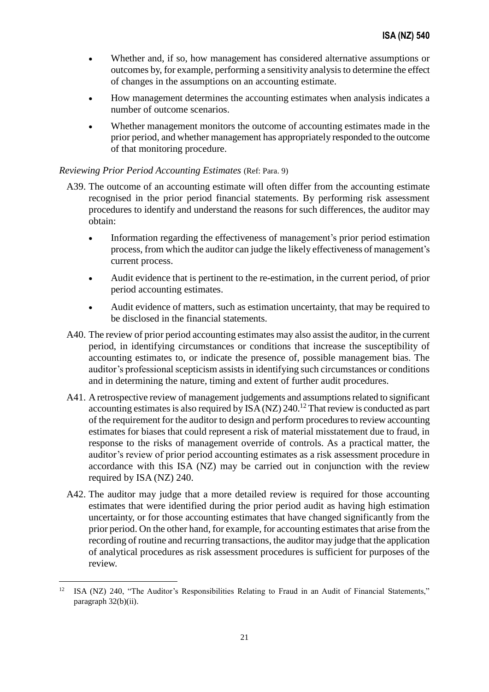- Whether and, if so, how management has considered alternative assumptions or outcomes by, for example, performing a sensitivity analysis to determine the effect of changes in the assumptions on an accounting estimate.
- How management determines the accounting estimates when analysis indicates a number of outcome scenarios.
- Whether management monitors the outcome of accounting estimates made in the prior period, and whether management has appropriately responded to the outcome of that monitoring procedure.

### *Reviewing Prior Period Accounting Estimates* (Ref: Para. 9)

- A39. The outcome of an accounting estimate will often differ from the accounting estimate recognised in the prior period financial statements. By performing risk assessment procedures to identify and understand the reasons for such differences, the auditor may obtain:
	- Information regarding the effectiveness of management's prior period estimation process, from which the auditor can judge the likely effectiveness of management's current process.
	- Audit evidence that is pertinent to the re-estimation, in the current period, of prior period accounting estimates.
	- Audit evidence of matters, such as estimation uncertainty, that may be required to be disclosed in the financial statements.
- A40. The review of prior period accounting estimates may also assist the auditor, in the current period, in identifying circumstances or conditions that increase the susceptibility of accounting estimates to, or indicate the presence of, possible management bias. The auditor's professional scepticism assists in identifying such circumstances or conditions and in determining the nature, timing and extent of further audit procedures.
- A41. A retrospective review of management judgements and assumptions related to significant accounting estimates is also required by  $ISA (NZ) 240$ .<sup>12</sup> That review is conducted as part of the requirement for the auditor to design and perform procedures to review accounting estimates for biases that could represent a risk of material misstatement due to fraud, in response to the risks of management override of controls. As a practical matter, the auditor's review of prior period accounting estimates as a risk assessment procedure in accordance with this ISA (NZ) may be carried out in conjunction with the review required by ISA (NZ) 240.
- A42. The auditor may judge that a more detailed review is required for those accounting estimates that were identified during the prior period audit as having high estimation uncertainty, or for those accounting estimates that have changed significantly from the prior period. On the other hand, for example, for accounting estimates that arise from the recording of routine and recurring transactions, the auditor may judge that the application of analytical procedures as risk assessment procedures is sufficient for purposes of the review.

<sup>&</sup>lt;sup>12</sup> ISA (NZ) 240, "The Auditor's Responsibilities Relating to Fraud in an Audit of Financial Statements," paragraph 32(b)(ii).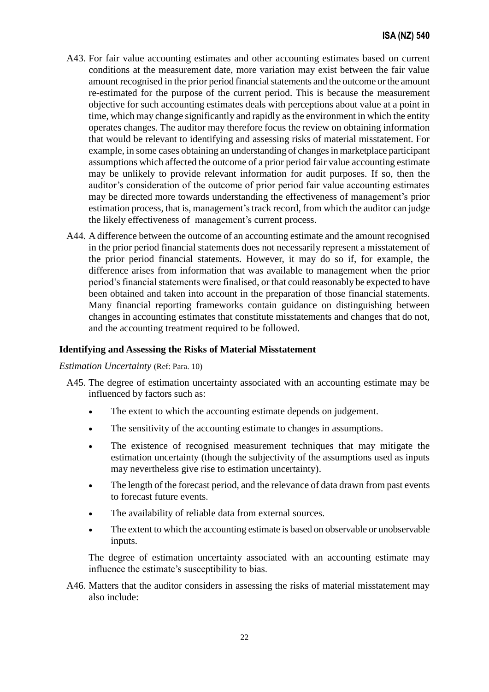- A43. For fair value accounting estimates and other accounting estimates based on current conditions at the measurement date, more variation may exist between the fair value amount recognised in the prior period financial statements and the outcome or the amount re-estimated for the purpose of the current period. This is because the measurement objective for such accounting estimates deals with perceptions about value at a point in time, which may change significantly and rapidly as the environment in which the entity operates changes. The auditor may therefore focus the review on obtaining information that would be relevant to identifying and assessing risks of material misstatement. For example, in some cases obtaining an understanding of changes in marketplace participant assumptions which affected the outcome of a prior period fair value accounting estimate may be unlikely to provide relevant information for audit purposes. If so, then the auditor's consideration of the outcome of prior period fair value accounting estimates may be directed more towards understanding the effectiveness of management's prior estimation process, that is, management's track record, from which the auditor can judge the likely effectiveness of management's current process.
- A44. Adifference between the outcome of an accounting estimate and the amount recognised in the prior period financial statements does not necessarily represent a misstatement of the prior period financial statements. However, it may do so if, for example, the difference arises from information that was available to management when the prior period's financial statements were finalised, or that could reasonably be expected to have been obtained and taken into account in the preparation of those financial statements. Many financial reporting frameworks contain guidance on distinguishing between changes in accounting estimates that constitute misstatements and changes that do not, and the accounting treatment required to be followed.

#### **Identifying and Assessing the Risks of Material Misstatement**

#### *Estimation Uncertainty* (Ref: Para. 10)

- A45. The degree of estimation uncertainty associated with an accounting estimate may be influenced by factors such as:
	- The extent to which the accounting estimate depends on judgement.
	- The sensitivity of the accounting estimate to changes in assumptions.
	- The existence of recognised measurement techniques that may mitigate the estimation uncertainty (though the subjectivity of the assumptions used as inputs may nevertheless give rise to estimation uncertainty).
	- The length of the forecast period, and the relevance of data drawn from past events to forecast future events.
	- The availability of reliable data from external sources.
	- The extent to which the accounting estimate is based on observable or unobservable inputs.

The degree of estimation uncertainty associated with an accounting estimate may influence the estimate's susceptibility to bias.

A46. Matters that the auditor considers in assessing the risks of material misstatement may also include: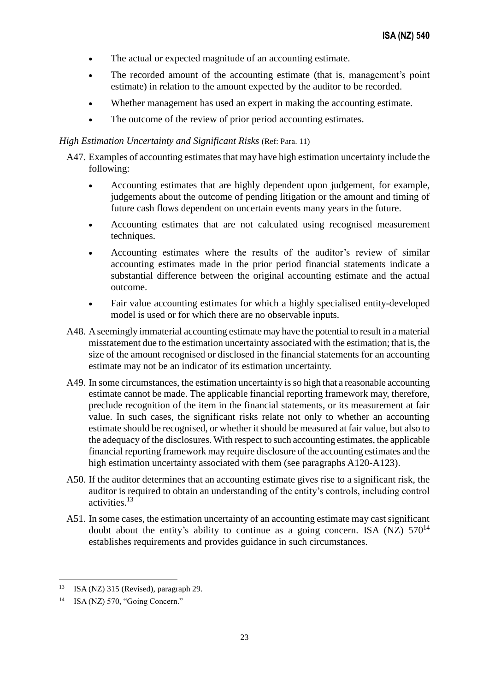- The actual or expected magnitude of an accounting estimate.
- The recorded amount of the accounting estimate (that is, management's point estimate) in relation to the amount expected by the auditor to be recorded.
- Whether management has used an expert in making the accounting estimate.
- The outcome of the review of prior period accounting estimates.

#### *High Estimation Uncertainty and Significant Risks* (Ref: Para. 11)

A47. Examples of accounting estimates that may have high estimation uncertainty include the following:

- Accounting estimates that are highly dependent upon judgement, for example, judgements about the outcome of pending litigation or the amount and timing of future cash flows dependent on uncertain events many years in the future.
- Accounting estimates that are not calculated using recognised measurement techniques.
- Accounting estimates where the results of the auditor's review of similar accounting estimates made in the prior period financial statements indicate a substantial difference between the original accounting estimate and the actual outcome.
- Fair value accounting estimates for which a highly specialised entity-developed model is used or for which there are no observable inputs.
- A48. A seemingly immaterial accounting estimate may have the potential to result in a material misstatement due to the estimation uncertainty associated with the estimation; that is, the size of the amount recognised or disclosed in the financial statements for an accounting estimate may not be an indicator of its estimation uncertainty.
- A49. In some circumstances, the estimation uncertainty is so high that a reasonable accounting estimate cannot be made. The applicable financial reporting framework may, therefore, preclude recognition of the item in the financial statements, or its measurement at fair value. In such cases, the significant risks relate not only to whether an accounting estimate should be recognised, or whether it should be measured at fair value, but also to the adequacy of the disclosures. With respect to such accounting estimates, the applicable financial reporting framework may require disclosure of the accounting estimates and the high estimation uncertainty associated with them (see paragraphs A120-A123).
- A50. If the auditor determines that an accounting estimate gives rise to a significant risk, the auditor is required to obtain an understanding of the entity's controls, including control activities.<sup>13</sup>
- A51. In some cases, the estimation uncertainty of an accounting estimate may cast significant doubt about the entity's ability to continue as a going concern. ISA  $(NZ)$  570<sup>14</sup> establishes requirements and provides guidance in such circumstances.

<sup>13</sup> ISA (NZ) 315 (Revised), paragraph 29.

<sup>&</sup>lt;sup>14</sup> ISA (NZ) 570, "Going Concern."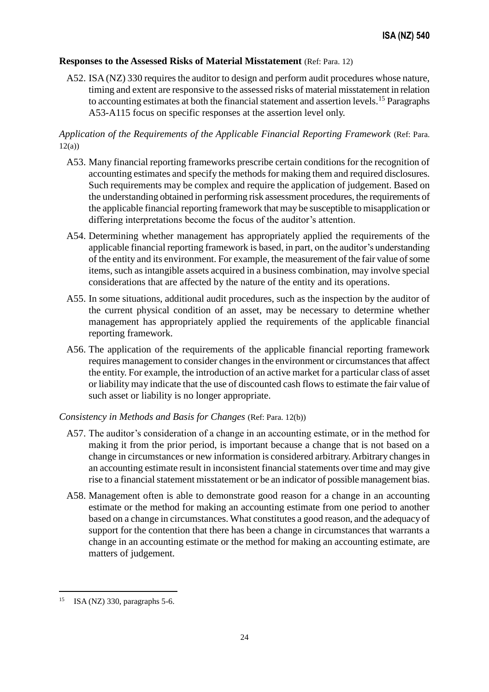# **Responses to the Assessed Risks of Material Misstatement** (Ref: Para. 12)

A52. ISA (NZ) 330 requires the auditor to design and perform audit procedures whose nature, timing and extent are responsive to the assessed risks of material misstatement in relation to accounting estimates at both the financial statement and assertion levels.<sup>15</sup> Paragraphs A53-A115 focus on specific responses at the assertion level only.

#### *Application of the Requirements of the Applicable Financial Reporting Framework* (Ref: Para.  $12(a)$

- A53. Many financial reporting frameworks prescribe certain conditions for the recognition of accounting estimates and specify the methods for making them and required disclosures. Such requirements may be complex and require the application of judgement. Based on the understanding obtained in performing risk assessment procedures, the requirements of the applicable financial reporting framework that may be susceptible to misapplication or differing interpretations become the focus of the auditor's attention.
- A54. Determining whether management has appropriately applied the requirements of the applicable financial reporting framework is based, in part, on the auditor's understanding of the entity and its environment. For example, the measurement of the fair value of some items, such as intangible assets acquired in a business combination, may involve special considerations that are affected by the nature of the entity and its operations.
- A55. In some situations, additional audit procedures, such as the inspection by the auditor of the current physical condition of an asset, may be necessary to determine whether management has appropriately applied the requirements of the applicable financial reporting framework.
- A56. The application of the requirements of the applicable financial reporting framework requires management to consider changes in the environment or circumstances that affect the entity. For example, the introduction of an active market for a particular class of asset or liability may indicate that the use of discounted cash flows to estimate the fair value of such asset or liability is no longer appropriate.

#### *Consistency in Methods and Basis for Changes* (Ref: Para. 12(b))

- A57. The auditor's consideration of a change in an accounting estimate, or in the method for making it from the prior period, is important because a change that is not based on a change in circumstances or new information is considered arbitrary. Arbitrary changes in an accounting estimate result in inconsistent financial statements over time and may give rise to a financial statement misstatement or be an indicator of possible management bias.
- A58. Management often is able to demonstrate good reason for a change in an accounting estimate or the method for making an accounting estimate from one period to another based on a change in circumstances. What constitutes a good reason, and the adequacy of support for the contention that there has been a change in circumstances that warrants a change in an accounting estimate or the method for making an accounting estimate, are matters of judgement.

<sup>15</sup> ISA (NZ) 330, paragraphs 5-6.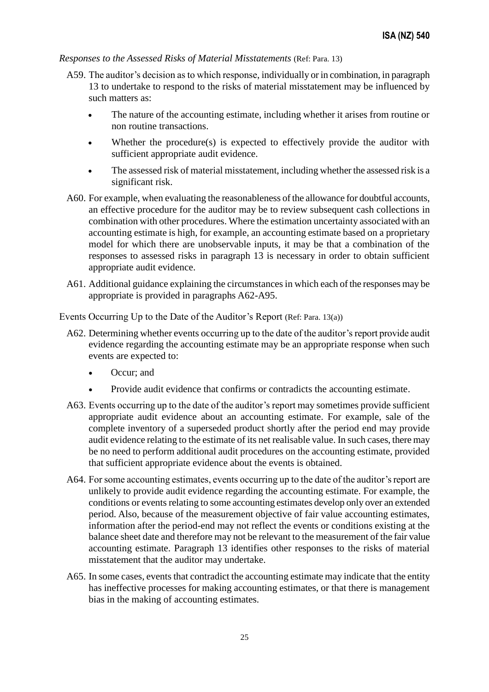*Responses to the Assessed Risks of Material Misstatements* (Ref: Para. 13)

- A59. The auditor's decision as to which response, individually or in combination, in paragraph 13 to undertake to respond to the risks of material misstatement may be influenced by such matters as:
	- The nature of the accounting estimate, including whether it arises from routine or non routine transactions.
	- Whether the procedure(s) is expected to effectively provide the auditor with sufficient appropriate audit evidence.
	- The assessed risk of material misstatement, including whether the assessed risk is a significant risk.
- A60. For example, when evaluating the reasonableness of the allowance for doubtful accounts, an effective procedure for the auditor may be to review subsequent cash collections in combination with other procedures. Where the estimation uncertainty associated with an accounting estimate is high, for example, an accounting estimate based on a proprietary model for which there are unobservable inputs, it may be that a combination of the responses to assessed risks in paragraph 13 is necessary in order to obtain sufficient appropriate audit evidence.
- A61. Additional guidance explaining the circumstances in which each of the responses may be appropriate is provided in paragraphs A62-A95.

Events Occurring Up to the Date of the Auditor's Report (Ref: Para. 13(a))

- A62. Determining whether events occurring up to the date of the auditor's report provide audit evidence regarding the accounting estimate may be an appropriate response when such events are expected to:
	- Occur; and
	- Provide audit evidence that confirms or contradicts the accounting estimate.
- A63. Events occurring up to the date of the auditor's report may sometimes provide sufficient appropriate audit evidence about an accounting estimate. For example, sale of the complete inventory of a superseded product shortly after the period end may provide audit evidence relating to the estimate of its net realisable value. In such cases, there may be no need to perform additional audit procedures on the accounting estimate, provided that sufficient appropriate evidence about the events is obtained.
- A64. For some accounting estimates, events occurring up to the date of the auditor's report are unlikely to provide audit evidence regarding the accounting estimate. For example, the conditions or events relating to some accounting estimates develop only over an extended period. Also, because of the measurement objective of fair value accounting estimates, information after the period-end may not reflect the events or conditions existing at the balance sheet date and therefore may not be relevant to the measurement of the fair value accounting estimate. Paragraph 13 identifies other responses to the risks of material misstatement that the auditor may undertake.
- A65. In some cases, events that contradict the accounting estimate may indicate that the entity has ineffective processes for making accounting estimates, or that there is management bias in the making of accounting estimates.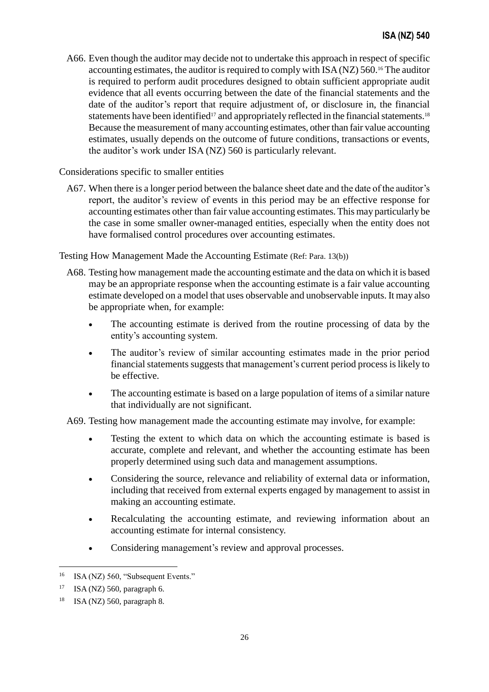A66. Even though the auditor may decide not to undertake this approach in respect of specific accounting estimates, the auditor is required to comply with ISA(NZ) 560.<sup>16</sup> The auditor is required to perform audit procedures designed to obtain sufficient appropriate audit evidence that all events occurring between the date of the financial statements and the date of the auditor's report that require adjustment of, or disclosure in, the financial statements have been identified<sup>17</sup> and appropriately reflected in the financial statements.<sup>18</sup> Because the measurement of many accounting estimates, other than fair value accounting estimates, usually depends on the outcome of future conditions, transactions or events, the auditor's work under ISA (NZ) 560 is particularly relevant.

Considerations specific to smaller entities

A67. When there is a longer period between the balance sheet date and the date of the auditor's report, the auditor's review of events in this period may be an effective response for accounting estimates other than fair value accounting estimates. This may particularly be the case in some smaller owner-managed entities, especially when the entity does not have formalised control procedures over accounting estimates.

Testing How Management Made the Accounting Estimate (Ref: Para. 13(b))

- A68. Testing how management made the accounting estimate and the data on which it is based may be an appropriate response when the accounting estimate is a fair value accounting estimate developed on a model that uses observable and unobservable inputs. It may also be appropriate when, for example:
	- The accounting estimate is derived from the routine processing of data by the entity's accounting system.
	- The auditor's review of similar accounting estimates made in the prior period financial statements suggests that management's current period process is likely to be effective.
	- The accounting estimate is based on a large population of items of a similar nature that individually are not significant.

A69. Testing how management made the accounting estimate may involve, for example:

- Testing the extent to which data on which the accounting estimate is based is accurate, complete and relevant, and whether the accounting estimate has been properly determined using such data and management assumptions.
- Considering the source, relevance and reliability of external data or information, including that received from external experts engaged by management to assist in making an accounting estimate.
- Recalculating the accounting estimate, and reviewing information about an accounting estimate for internal consistency.
- Considering management's review and approval processes.

<sup>&</sup>lt;sup>16</sup> ISA (NZ) 560, "Subsequent Events."

 $17$  ISA (NZ) 560, paragraph 6.

<sup>18</sup> ISA (NZ) 560, paragraph 8.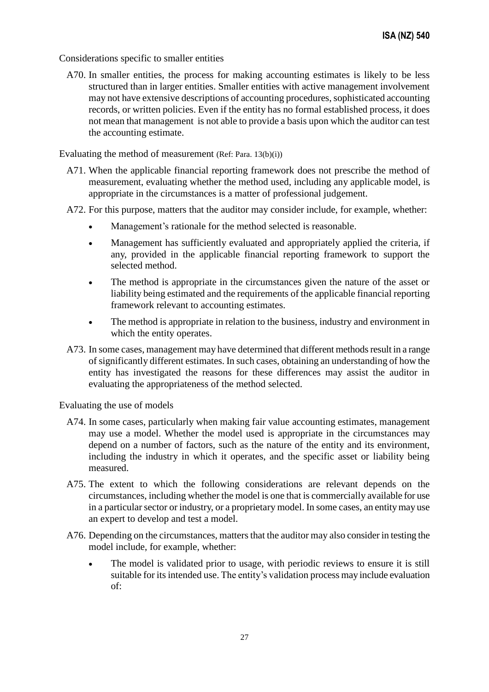Considerations specific to smaller entities

A70. In smaller entities, the process for making accounting estimates is likely to be less structured than in larger entities. Smaller entities with active management involvement may not have extensive descriptions of accounting procedures, sophisticated accounting records, or written policies. Even if the entity has no formal established process, it does not mean that management is not able to provide a basis upon which the auditor can test the accounting estimate.

Evaluating the method of measurement (Ref: Para. 13(b)(i))

- A71. When the applicable financial reporting framework does not prescribe the method of measurement, evaluating whether the method used, including any applicable model, is appropriate in the circumstances is a matter of professional judgement.
- A72. For this purpose, matters that the auditor may consider include, for example, whether:
	- Management's rationale for the method selected is reasonable.
	- Management has sufficiently evaluated and appropriately applied the criteria, if any, provided in the applicable financial reporting framework to support the selected method.
	- The method is appropriate in the circumstances given the nature of the asset or liability being estimated and the requirements of the applicable financial reporting framework relevant to accounting estimates.
	- The method is appropriate in relation to the business, industry and environment in which the entity operates.
- A73. In some cases, management may have determined that different methods result in a range of significantly different estimates. In such cases, obtaining an understanding of how the entity has investigated the reasons for these differences may assist the auditor in evaluating the appropriateness of the method selected.

Evaluating the use of models

- A74. In some cases, particularly when making fair value accounting estimates, management may use a model. Whether the model used is appropriate in the circumstances may depend on a number of factors, such as the nature of the entity and its environment, including the industry in which it operates, and the specific asset or liability being measured.
- A75. The extent to which the following considerations are relevant depends on the circumstances, including whether the model is one that is commercially available for use in a particular sector or industry, or a proprietary model. In some cases, an entity may use an expert to develop and test a model.
- A76. Depending on the circumstances, matters that the auditor may also consider in testing the model include, for example, whether:
	- The model is validated prior to usage, with periodic reviews to ensure it is still suitable for its intended use. The entity's validation process may include evaluation of: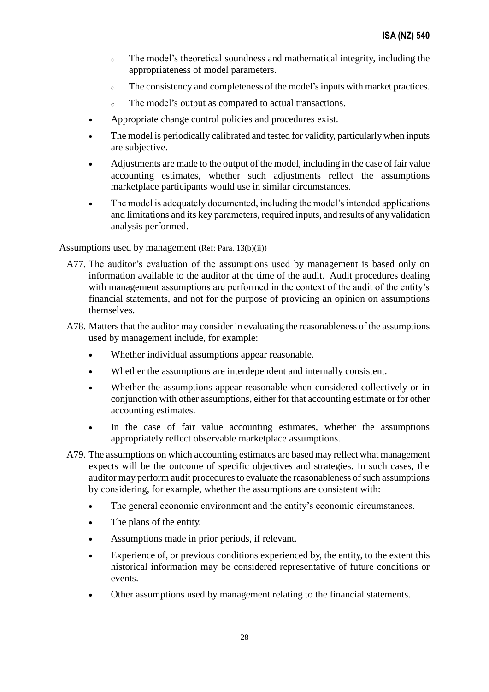- <sup>o</sup> The model's theoretical soundness and mathematical integrity, including the appropriateness of model parameters.
- <sup>o</sup> The consistency and completeness of the model'sinputs with market practices.
- <sup>o</sup> The model's output as compared to actual transactions.
- Appropriate change control policies and procedures exist.
- The model is periodically calibrated and tested for validity, particularly when inputs are subjective.
- Adjustments are made to the output of the model, including in the case of fair value accounting estimates, whether such adjustments reflect the assumptions marketplace participants would use in similar circumstances.
- The model is adequately documented, including the model's intended applications and limitations and its key parameters, required inputs, and results of any validation analysis performed.

Assumptions used by management (Ref: Para. 13(b)(ii))

- A77. The auditor's evaluation of the assumptions used by management is based only on information available to the auditor at the time of the audit. Audit procedures dealing with management assumptions are performed in the context of the audit of the entity's financial statements, and not for the purpose of providing an opinion on assumptions themselves.
- A78. Matters that the auditor may consider in evaluating the reasonableness of the assumptions used by management include, for example:
	- Whether individual assumptions appear reasonable.
	- Whether the assumptions are interdependent and internally consistent.
	- Whether the assumptions appear reasonable when considered collectively or in conjunction with other assumptions, either for that accounting estimate or for other accounting estimates.
	- In the case of fair value accounting estimates, whether the assumptions appropriately reflect observable marketplace assumptions.
- A79. The assumptions on which accounting estimates are based may reflect what management expects will be the outcome of specific objectives and strategies. In such cases, the auditor may perform audit procedures to evaluate the reasonableness of such assumptions by considering, for example, whether the assumptions are consistent with:
	- The general economic environment and the entity's economic circumstances.
	- The plans of the entity.
	- Assumptions made in prior periods, if relevant.
	- Experience of, or previous conditions experienced by, the entity, to the extent this historical information may be considered representative of future conditions or events.
	- Other assumptions used by management relating to the financial statements.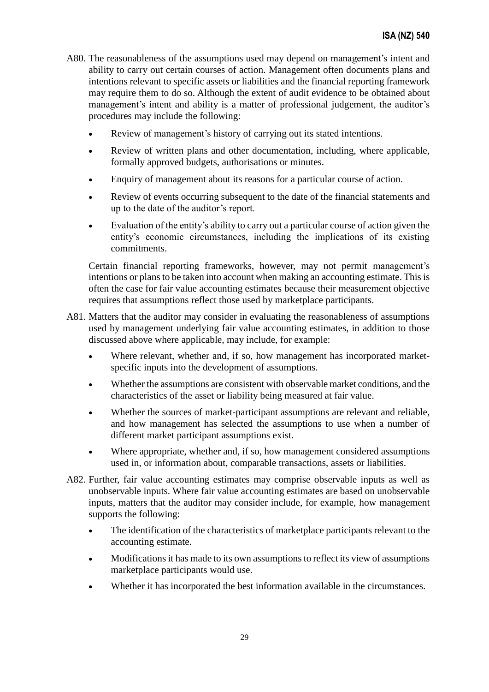- A80. The reasonableness of the assumptions used may depend on management's intent and ability to carry out certain courses of action. Management often documents plans and intentions relevant to specific assets or liabilities and the financial reporting framework may require them to do so. Although the extent of audit evidence to be obtained about management's intent and ability is a matter of professional judgement, the auditor's procedures may include the following:
	- Review of management's history of carrying out its stated intentions.
	- Review of written plans and other documentation, including, where applicable, formally approved budgets, authorisations or minutes.
	- Enquiry of management about its reasons for a particular course of action.
	- Review of events occurring subsequent to the date of the financial statements and up to the date of the auditor's report.
	- Evaluation of the entity's ability to carry out a particular course of action given the entity's economic circumstances, including the implications of its existing commitments.

Certain financial reporting frameworks, however, may not permit management's intentions or plans to be taken into account when making an accounting estimate. This is often the case for fair value accounting estimates because their measurement objective requires that assumptions reflect those used by marketplace participants.

- A81. Matters that the auditor may consider in evaluating the reasonableness of assumptions used by management underlying fair value accounting estimates, in addition to those discussed above where applicable, may include, for example:
	- Where relevant, whether and, if so, how management has incorporated marketspecific inputs into the development of assumptions.
	- Whether the assumptions are consistent with observable market conditions, and the characteristics of the asset or liability being measured at fair value.
	- Whether the sources of market-participant assumptions are relevant and reliable, and how management has selected the assumptions to use when a number of different market participant assumptions exist.
	- Where appropriate, whether and, if so, how management considered assumptions used in, or information about, comparable transactions, assets or liabilities.
- A82. Further, fair value accounting estimates may comprise observable inputs as well as unobservable inputs. Where fair value accounting estimates are based on unobservable inputs, matters that the auditor may consider include, for example, how management supports the following:
	- The identification of the characteristics of marketplace participants relevant to the accounting estimate.
	- Modifications it has made to its own assumptions to reflect its view of assumptions marketplace participants would use.
	- Whether it has incorporated the best information available in the circumstances.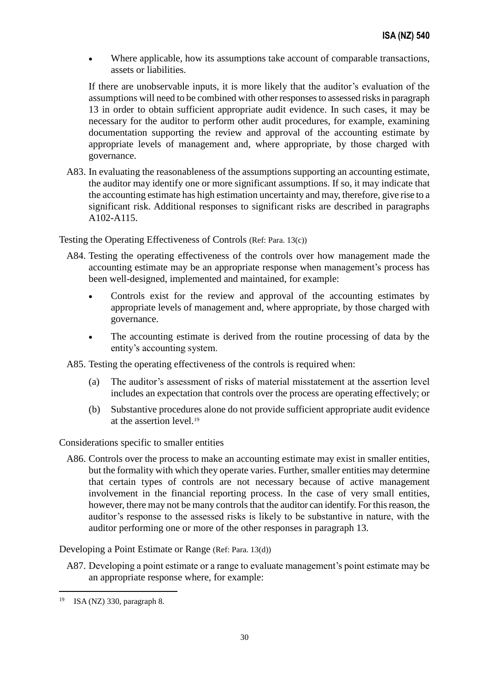Where applicable, how its assumptions take account of comparable transactions, assets or liabilities.

If there are unobservable inputs, it is more likely that the auditor's evaluation of the assumptions will need to be combined with other responses to assessed risks in paragraph 13 in order to obtain sufficient appropriate audit evidence. In such cases, it may be necessary for the auditor to perform other audit procedures, for example, examining documentation supporting the review and approval of the accounting estimate by appropriate levels of management and, where appropriate, by those charged with governance.

A83. In evaluating the reasonableness of the assumptions supporting an accounting estimate, the auditor may identify one or more significant assumptions. If so, it may indicate that the accounting estimate has high estimation uncertainty and may, therefore, give rise to a significant risk. Additional responses to significant risks are described in paragraphs A102-A115.

Testing the Operating Effectiveness of Controls (Ref: Para. 13(c))

- A84. Testing the operating effectiveness of the controls over how management made the accounting estimate may be an appropriate response when management's process has been well-designed, implemented and maintained, for example:
	- Controls exist for the review and approval of the accounting estimates by appropriate levels of management and, where appropriate, by those charged with governance.
	- The accounting estimate is derived from the routine processing of data by the entity's accounting system.

A85. Testing the operating effectiveness of the controls is required when:

- (a) The auditor's assessment of risks of material misstatement at the assertion level includes an expectation that controls over the process are operating effectively; or
- (b) Substantive procedures alone do not provide sufficient appropriate audit evidence at the assertion level.<sup>19</sup>

Considerations specific to smaller entities

A86. Controls over the process to make an accounting estimate may exist in smaller entities, but the formality with which they operate varies. Further, smaller entities may determine that certain types of controls are not necessary because of active management involvement in the financial reporting process. In the case of very small entities, however, there may not be many controls that the auditor can identify. For this reason, the auditor's response to the assessed risks is likely to be substantive in nature, with the auditor performing one or more of the other responses in paragraph 13.

Developing a Point Estimate or Range (Ref: Para. 13(d))

A87. Developing a point estimate or a range to evaluate management's point estimate may be an appropriate response where, for example:

<sup>1</sup> <sup>19</sup> ISA (NZ) 330, paragraph 8.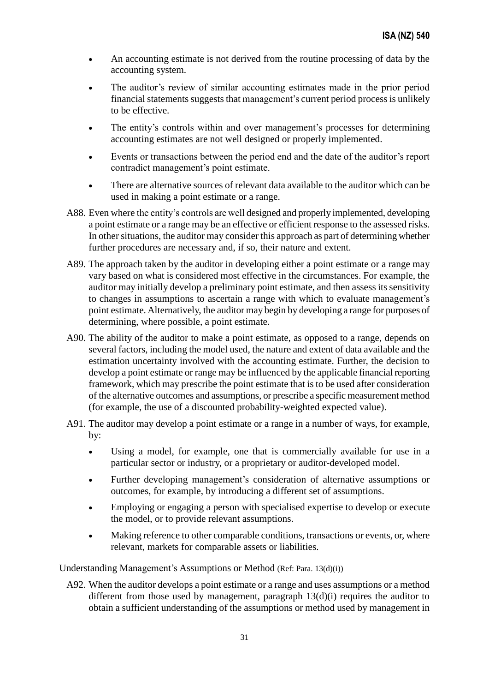- An accounting estimate is not derived from the routine processing of data by the accounting system.
- The auditor's review of similar accounting estimates made in the prior period financial statements suggests that management's current period process is unlikely to be effective.
- The entity's controls within and over management's processes for determining accounting estimates are not well designed or properly implemented.
- Events or transactions between the period end and the date of the auditor's report contradict management's point estimate.
- There are alternative sources of relevant data available to the auditor which can be used in making a point estimate or a range.
- A88. Even where the entity's controls are well designed and properly implemented, developing a point estimate or a range may be an effective or efficient response to the assessed risks. In other situations, the auditor may consider this approach as part of determining whether further procedures are necessary and, if so, their nature and extent.
- A89. The approach taken by the auditor in developing either a point estimate or a range may vary based on what is considered most effective in the circumstances. For example, the auditor may initially develop a preliminary point estimate, and then assess its sensitivity to changes in assumptions to ascertain a range with which to evaluate management's point estimate. Alternatively, the auditor may begin by developing a range for purposes of determining, where possible, a point estimate.
- A90. The ability of the auditor to make a point estimate, as opposed to a range, depends on several factors, including the model used, the nature and extent of data available and the estimation uncertainty involved with the accounting estimate. Further, the decision to develop a point estimate or range may be influenced by the applicable financial reporting framework, which may prescribe the point estimate that is to be used after consideration of the alternative outcomes and assumptions, or prescribe a specific measurement method (for example, the use of a discounted probability-weighted expected value).
- A91. The auditor may develop a point estimate or a range in a number of ways, for example, by:
	- Using a model, for example, one that is commercially available for use in a particular sector or industry, or a proprietary or auditor-developed model.
	- Further developing management's consideration of alternative assumptions or outcomes, for example, by introducing a different set of assumptions.
	- Employing or engaging a person with specialised expertise to develop or execute the model, or to provide relevant assumptions.
	- Making reference to other comparable conditions, transactions or events, or, where relevant, markets for comparable assets or liabilities.

Understanding Management's Assumptions or Method (Ref: Para. 13(d)(i))

A92. When the auditor develops a point estimate or a range and uses assumptions or a method different from those used by management, paragraph 13(d)(i) requires the auditor to obtain a sufficient understanding of the assumptions or method used by management in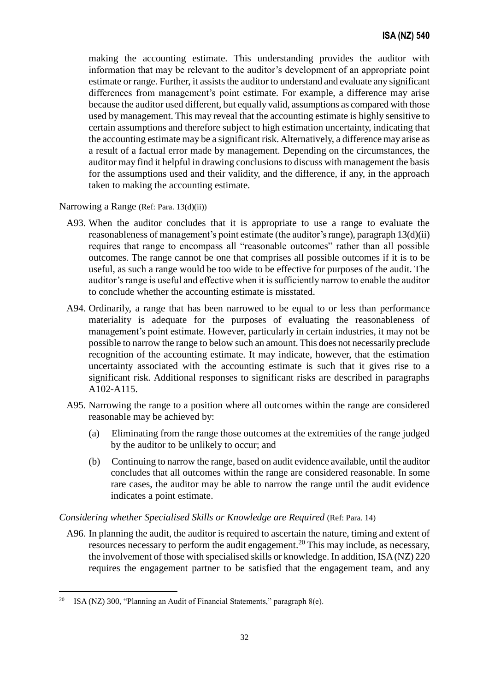making the accounting estimate. This understanding provides the auditor with information that may be relevant to the auditor's development of an appropriate point estimate or range. Further, it assists the auditor to understand and evaluate any significant differences from management's point estimate. For example, a difference may arise because the auditor used different, but equally valid, assumptions as compared with those used by management. This may reveal that the accounting estimate is highly sensitive to certain assumptions and therefore subject to high estimation uncertainty, indicating that the accounting estimate may be a significant risk. Alternatively, a difference may arise as a result of a factual error made by management. Depending on the circumstances, the auditor may find it helpful in drawing conclusions to discuss with management the basis for the assumptions used and their validity, and the difference, if any, in the approach taken to making the accounting estimate.

Narrowing a Range (Ref: Para. 13(d)(ii))

- A93. When the auditor concludes that it is appropriate to use a range to evaluate the reasonableness of management's point estimate (the auditor's range), paragraph 13(d)(ii) requires that range to encompass all "reasonable outcomes" rather than all possible outcomes. The range cannot be one that comprises all possible outcomes if it is to be useful, as such a range would be too wide to be effective for purposes of the audit. The auditor's range is useful and effective when it is sufficiently narrow to enable the auditor to conclude whether the accounting estimate is misstated.
- A94. Ordinarily, a range that has been narrowed to be equal to or less than performance materiality is adequate for the purposes of evaluating the reasonableness of management's point estimate. However, particularly in certain industries, it may not be possible to narrow the range to below such an amount. This does not necessarily preclude recognition of the accounting estimate. It may indicate, however, that the estimation uncertainty associated with the accounting estimate is such that it gives rise to a significant risk. Additional responses to significant risks are described in paragraphs A102-A115.
- A95. Narrowing the range to a position where all outcomes within the range are considered reasonable may be achieved by:
	- (a) Eliminating from the range those outcomes at the extremities of the range judged by the auditor to be unlikely to occur; and
	- (b) Continuing to narrow the range, based on audit evidence available, until the auditor concludes that all outcomes within the range are considered reasonable. In some rare cases, the auditor may be able to narrow the range until the audit evidence indicates a point estimate.

*Considering whether Specialised Skills or Knowledge are Required* (Ref: Para. 14)

A96. In planning the audit, the auditor is required to ascertain the nature, timing and extent of resources necessary to perform the audit engagement.<sup>20</sup> This may include, as necessary, the involvement of those with specialised skills or knowledge. In addition, ISA (NZ) 220 requires the engagement partner to be satisfied that the engagement team, and any

<sup>&</sup>lt;sup>20</sup> ISA (NZ) 300, "Planning an Audit of Financial Statements," paragraph  $8(e)$ .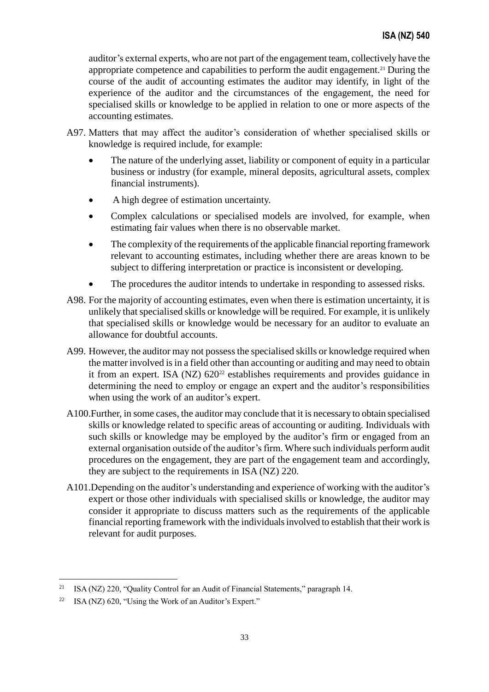auditor's external experts, who are not part of the engagement team, collectively have the appropriate competence and capabilities to perform the audit engagement.<sup>21</sup> During the course of the audit of accounting estimates the auditor may identify, in light of the experience of the auditor and the circumstances of the engagement, the need for specialised skills or knowledge to be applied in relation to one or more aspects of the accounting estimates.

- A97. Matters that may affect the auditor's consideration of whether specialised skills or knowledge is required include, for example:
	- The nature of the underlying asset, liability or component of equity in a particular business or industry (for example, mineral deposits, agricultural assets, complex financial instruments).
	- A high degree of estimation uncertainty.
	- Complex calculations or specialised models are involved, for example, when estimating fair values when there is no observable market.
	- The complexity of the requirements of the applicable financial reporting framework relevant to accounting estimates, including whether there are areas known to be subject to differing interpretation or practice is inconsistent or developing.
	- The procedures the auditor intends to undertake in responding to assessed risks.
- A98. For the majority of accounting estimates, even when there is estimation uncertainty, it is unlikely that specialised skills or knowledge will be required. For example, it is unlikely that specialised skills or knowledge would be necessary for an auditor to evaluate an allowance for doubtful accounts.
- A99. However, the auditor may not possess the specialised skills or knowledge required when the matter involved is in a field other than accounting or auditing and may need to obtain it from an expert. ISA ( $NZ$ ) 620<sup>22</sup> establishes requirements and provides guidance in determining the need to employ or engage an expert and the auditor's responsibilities when using the work of an auditor's expert.
- A100.Further, in some cases, the auditor may conclude that it is necessary to obtain specialised skills or knowledge related to specific areas of accounting or auditing. Individuals with such skills or knowledge may be employed by the auditor's firm or engaged from an external organisation outside of the auditor's firm. Where such individuals perform audit procedures on the engagement, they are part of the engagement team and accordingly, they are subject to the requirements in ISA (NZ) 220.
- A101.Depending on the auditor's understanding and experience of working with the auditor's expert or those other individuals with specialised skills or knowledge, the auditor may consider it appropriate to discuss matters such as the requirements of the applicable financial reporting framework with the individuals involved to establish that their work is relevant for audit purposes.

<sup>&</sup>lt;sup>21</sup> ISA (NZ) 220, "Quality Control for an Audit of Financial Statements," paragraph 14.

<sup>&</sup>lt;sup>22</sup> ISA (NZ) 620, "Using the Work of an Auditor's Expert."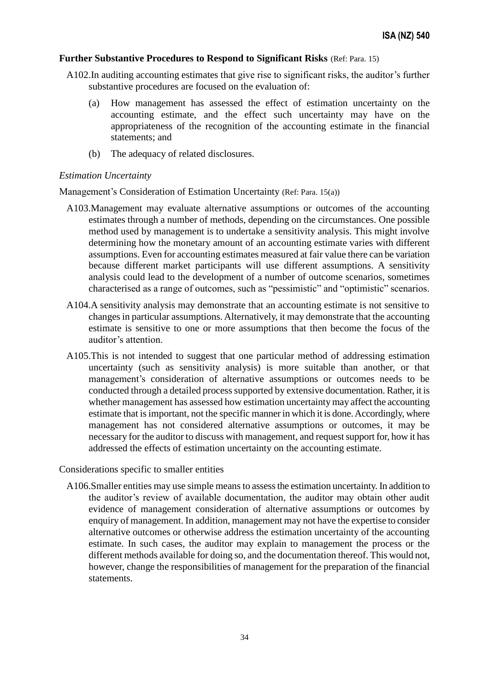#### **Further Substantive Procedures to Respond to Significant Risks** (Ref: Para. 15)

- A102.In auditing accounting estimates that give rise to significant risks, the auditor's further substantive procedures are focused on the evaluation of:
	- (a) How management has assessed the effect of estimation uncertainty on the accounting estimate, and the effect such uncertainty may have on the appropriateness of the recognition of the accounting estimate in the financial statements; and
	- (b) The adequacy of related disclosures.

#### *Estimation Uncertainty*

Management's Consideration of Estimation Uncertainty (Ref: Para. 15(a))

- A103.Management may evaluate alternative assumptions or outcomes of the accounting estimates through a number of methods, depending on the circumstances. One possible method used by management is to undertake a sensitivity analysis. This might involve determining how the monetary amount of an accounting estimate varies with different assumptions. Even for accounting estimates measured at fair value there can be variation because different market participants will use different assumptions. A sensitivity analysis could lead to the development of a number of outcome scenarios, sometimes characterised as a range of outcomes, such as "pessimistic" and "optimistic" scenarios.
- A104.A sensitivity analysis may demonstrate that an accounting estimate is not sensitive to changes in particular assumptions. Alternatively, it may demonstrate that the accounting estimate is sensitive to one or more assumptions that then become the focus of the auditor's attention.
- A105.This is not intended to suggest that one particular method of addressing estimation uncertainty (such as sensitivity analysis) is more suitable than another, or that management's consideration of alternative assumptions or outcomes needs to be conducted through a detailed process supported by extensive documentation. Rather, it is whether management has assessed how estimation uncertainty may affect the accounting estimate that is important, not the specific manner in which it is done. Accordingly, where management has not considered alternative assumptions or outcomes, it may be necessary for the auditor to discuss with management, and request support for, how it has addressed the effects of estimation uncertainty on the accounting estimate.

Considerations specific to smaller entities

A106.Smaller entities may use simple means to assess the estimation uncertainty. In addition to the auditor's review of available documentation, the auditor may obtain other audit evidence of management consideration of alternative assumptions or outcomes by enquiry of management. In addition, management may not have the expertise to consider alternative outcomes or otherwise address the estimation uncertainty of the accounting estimate. In such cases, the auditor may explain to management the process or the different methods available for doing so, and the documentation thereof. This would not, however, change the responsibilities of management for the preparation of the financial statements.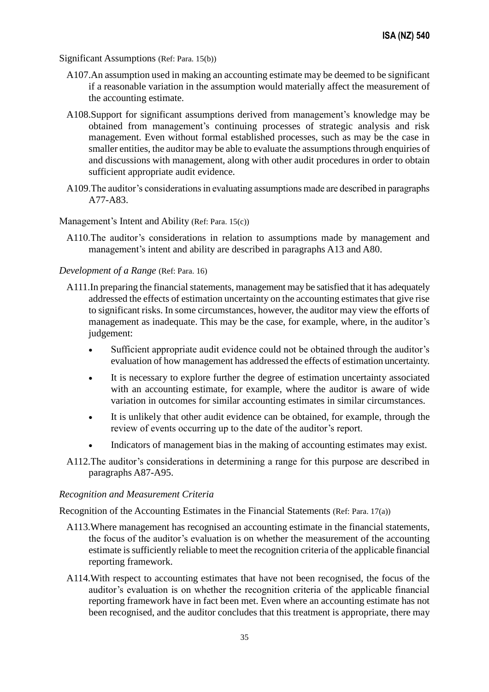Significant Assumptions (Ref: Para. 15(b))

- A107.An assumption used in making an accounting estimate may be deemed to be significant if a reasonable variation in the assumption would materially affect the measurement of the accounting estimate.
- A108.Support for significant assumptions derived from management's knowledge may be obtained from management's continuing processes of strategic analysis and risk management. Even without formal established processes, such as may be the case in smaller entities, the auditor may be able to evaluate the assumptions through enquiries of and discussions with management, along with other audit procedures in order to obtain sufficient appropriate audit evidence.
- A109.The auditor's considerations in evaluating assumptions made are described in paragraphs A77-A83.
- Management's Intent and Ability (Ref: Para. 15(c))
	- A110.The auditor's considerations in relation to assumptions made by management and management's intent and ability are described in paragraphs A13 and A80.

#### *Development of a Range* (Ref: Para. 16)

- A111.In preparing the financial statements, management may be satisfied that it has adequately addressed the effects of estimation uncertainty on the accounting estimates that give rise to significant risks. In some circumstances, however, the auditor may view the efforts of management as inadequate. This may be the case, for example, where, in the auditor's judgement:
	- Sufficient appropriate audit evidence could not be obtained through the auditor's evaluation of how management has addressed the effects of estimation uncertainty.
	- It is necessary to explore further the degree of estimation uncertainty associated with an accounting estimate, for example, where the auditor is aware of wide variation in outcomes for similar accounting estimates in similar circumstances.
	- It is unlikely that other audit evidence can be obtained, for example, through the review of events occurring up to the date of the auditor's report.
	- Indicators of management bias in the making of accounting estimates may exist.
- A112.The auditor's considerations in determining a range for this purpose are described in paragraphs A87-A95.

#### *Recognition and Measurement Criteria*

Recognition of the Accounting Estimates in the Financial Statements (Ref: Para. 17(a))

- A113.Where management has recognised an accounting estimate in the financial statements, the focus of the auditor's evaluation is on whether the measurement of the accounting estimate is sufficiently reliable to meet the recognition criteria of the applicable financial reporting framework.
- A114.With respect to accounting estimates that have not been recognised, the focus of the auditor's evaluation is on whether the recognition criteria of the applicable financial reporting framework have in fact been met. Even where an accounting estimate has not been recognised, and the auditor concludes that this treatment is appropriate, there may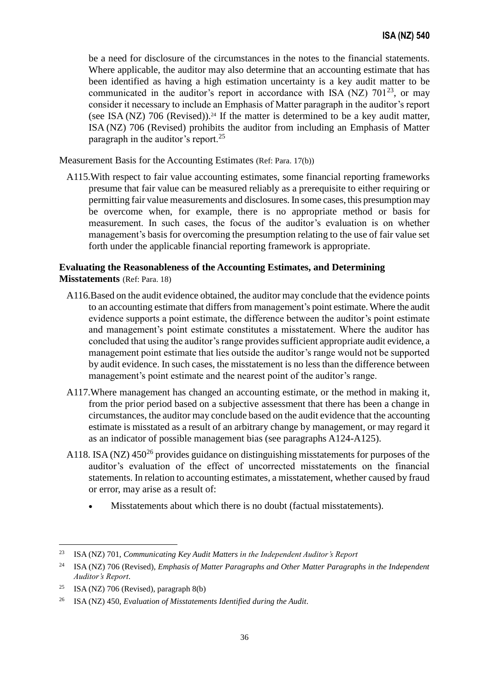be a need for disclosure of the circumstances in the notes to the financial statements. Where applicable, the auditor may also determine that an accounting estimate that has been identified as having a high estimation uncertainty is a key audit matter to be communicated in the auditor's report in accordance with ISA (NZ)  $701^{23}$ , or may consider it necessary to include an Emphasis of Matter paragraph in the auditor's report (see ISA (NZ) 706 (Revised)). <sup>24</sup> If the matter is determined to be a key audit matter, ISA (NZ) 706 (Revised) prohibits the auditor from including an Emphasis of Matter paragraph in the auditor's report.<sup>25</sup>

Measurement Basis for the Accounting Estimates (Ref: Para. 17(b))

A115.With respect to fair value accounting estimates, some financial reporting frameworks presume that fair value can be measured reliably as a prerequisite to either requiring or permitting fair value measurements and disclosures. In some cases, this presumption may be overcome when, for example, there is no appropriate method or basis for measurement. In such cases, the focus of the auditor's evaluation is on whether management's basis for overcoming the presumption relating to the use of fair value set forth under the applicable financial reporting framework is appropriate.

#### **Evaluating the Reasonableness of the Accounting Estimates, and Determining Misstatements** (Ref: Para. 18)

- A116.Based on the audit evidence obtained, the auditor may conclude that the evidence points to an accounting estimate that differs from management's point estimate. Where the audit evidence supports a point estimate, the difference between the auditor's point estimate and management's point estimate constitutes a misstatement. Where the auditor has concluded that using the auditor's range provides sufficient appropriate audit evidence, a management point estimate that lies outside the auditor's range would not be supported by audit evidence. In such cases, the misstatement is no less than the difference between management's point estimate and the nearest point of the auditor's range.
- A117.Where management has changed an accounting estimate, or the method in making it, from the prior period based on a subjective assessment that there has been a change in circumstances, the auditor may conclude based on the audit evidence that the accounting estimate is misstated as a result of an arbitrary change by management, or may regard it as an indicator of possible management bias (see paragraphs A124-A125).
- A118. ISA (NZ)  $450^{26}$  provides guidance on distinguishing misstatements for purposes of the auditor's evaluation of the effect of uncorrected misstatements on the financial statements. In relation to accounting estimates, a misstatement, whether caused by fraud or error, may arise as a result of:
	- Misstatements about which there is no doubt (factual misstatements).

<sup>23</sup> ISA (NZ) 701, *Communicating Key Audit Matters in the Independent Auditor's Report*

<sup>24</sup> ISA (NZ) 706 (Revised), *Emphasis of Matter Paragraphs and Other Matter Paragraphs in the Independent Auditor's Report*.

<sup>&</sup>lt;sup>25</sup> ISA (NZ) 706 (Revised), paragraph  $8(b)$ 

<sup>26</sup> ISA (NZ) 450, *Evaluation of Misstatements Identified during the Audit*.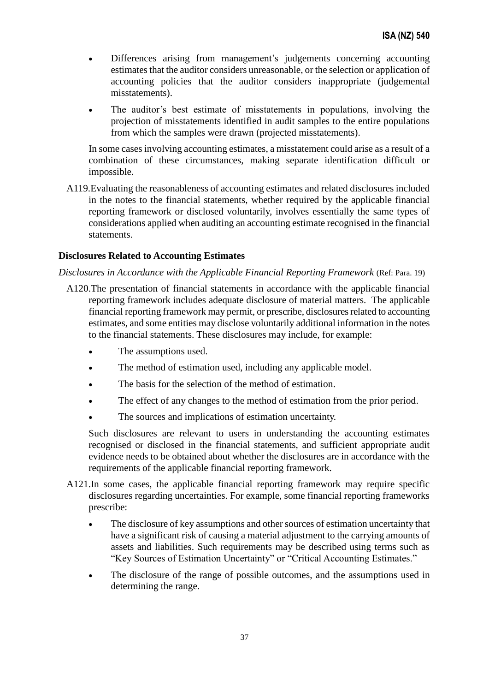- Differences arising from management's judgements concerning accounting estimates that the auditor considers unreasonable, or the selection or application of accounting policies that the auditor considers inappropriate (judgemental misstatements).
- The auditor's best estimate of misstatements in populations, involving the projection of misstatements identified in audit samples to the entire populations from which the samples were drawn (projected misstatements).

In some cases involving accounting estimates, a misstatement could arise as a result of a combination of these circumstances, making separate identification difficult or impossible.

A119.Evaluating the reasonableness of accounting estimates and related disclosures included in the notes to the financial statements, whether required by the applicable financial reporting framework or disclosed voluntarily, involves essentially the same types of considerations applied when auditing an accounting estimate recognised in the financial statements.

# **Disclosures Related to Accounting Estimates**

### *Disclosures in Accordance with the Applicable Financial Reporting Framework* (Ref: Para. 19)

- A120.The presentation of financial statements in accordance with the applicable financial reporting framework includes adequate disclosure of material matters. The applicable financial reporting framework may permit, or prescribe, disclosures related to accounting estimates, and some entities may disclose voluntarily additional information in the notes to the financial statements. These disclosures may include, for example:
	- The assumptions used.
	- The method of estimation used, including any applicable model.
	- The basis for the selection of the method of estimation.
	- The effect of any changes to the method of estimation from the prior period.
	- The sources and implications of estimation uncertainty.

Such disclosures are relevant to users in understanding the accounting estimates recognised or disclosed in the financial statements, and sufficient appropriate audit evidence needs to be obtained about whether the disclosures are in accordance with the requirements of the applicable financial reporting framework.

- A121.In some cases, the applicable financial reporting framework may require specific disclosures regarding uncertainties. For example, some financial reporting frameworks prescribe:
	- The disclosure of key assumptions and other sources of estimation uncertainty that have a significant risk of causing a material adjustment to the carrying amounts of assets and liabilities. Such requirements may be described using terms such as "Key Sources of Estimation Uncertainty" or "Critical Accounting Estimates."
	- The disclosure of the range of possible outcomes, and the assumptions used in determining the range.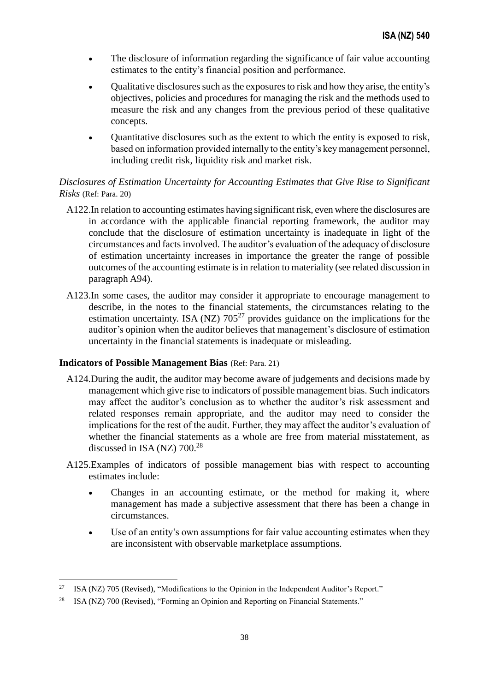- The disclosure of information regarding the significance of fair value accounting estimates to the entity's financial position and performance.
- Qualitative disclosures such as the exposures to risk and how they arise, the entity's objectives, policies and procedures for managing the risk and the methods used to measure the risk and any changes from the previous period of these qualitative concepts.
- Quantitative disclosures such as the extent to which the entity is exposed to risk, based on information provided internally to the entity's key management personnel, including credit risk, liquidity risk and market risk.

# *Disclosures of Estimation Uncertainty for Accounting Estimates that Give Rise to Significant Risks* (Ref: Para. 20)

- A122.In relation to accounting estimates having significant risk, even where the disclosures are in accordance with the applicable financial reporting framework, the auditor may conclude that the disclosure of estimation uncertainty is inadequate in light of the circumstances and facts involved. The auditor's evaluation of the adequacy of disclosure of estimation uncertainty increases in importance the greater the range of possible outcomes of the accounting estimate is in relation to materiality (see related discussion in paragraph A94).
- A123.In some cases, the auditor may consider it appropriate to encourage management to describe, in the notes to the financial statements, the circumstances relating to the estimation uncertainty. ISA (NZ)  $705^{27}$  provides guidance on the implications for the auditor's opinion when the auditor believes that management's disclosure of estimation uncertainty in the financial statements is inadequate or misleading.

#### **Indicators of Possible Management Bias** (Ref: Para. 21)

- A124.During the audit, the auditor may become aware of judgements and decisions made by management which give rise to indicators of possible management bias. Such indicators may affect the auditor's conclusion as to whether the auditor's risk assessment and related responses remain appropriate, and the auditor may need to consider the implications for the rest of the audit. Further, they may affect the auditor's evaluation of whether the financial statements as a whole are free from material misstatement, as discussed in ISA (NZ) 700.<sup>28</sup>
- A125.Examples of indicators of possible management bias with respect to accounting estimates include:
	- Changes in an accounting estimate, or the method for making it, where management has made a subjective assessment that there has been a change in circumstances.
	- Use of an entity's own assumptions for fair value accounting estimates when they are inconsistent with observable marketplace assumptions.

<sup>&</sup>lt;sup>27</sup> ISA (NZ) 705 (Revised), "Modifications to the Opinion in the Independent Auditor's Report."

<sup>&</sup>lt;sup>28</sup> ISA (NZ) 700 (Revised), "Forming an Opinion and Reporting on Financial Statements."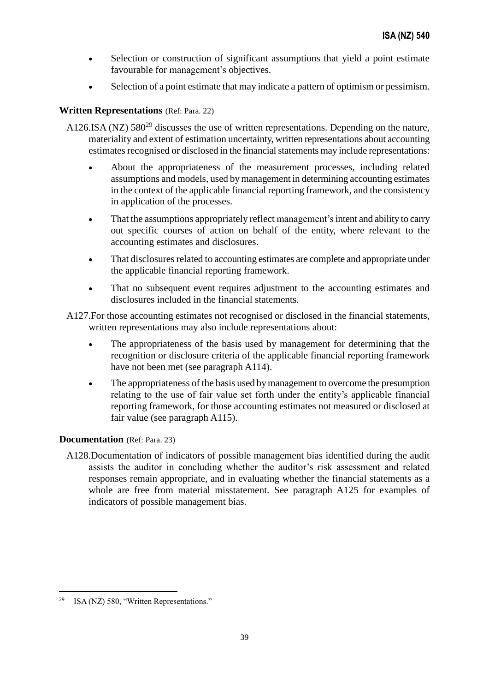- Selection or construction of significant assumptions that yield a point estimate favourable for management's objectives.
- Selection of a point estimate that may indicate a pattern of optimism or pessimism.

# **Written Representations** (Ref: Para. 22)

- A126.ISA (NZ)  $580^{29}$  discusses the use of written representations. Depending on the nature, materiality and extent of estimation uncertainty, written representations about accounting estimates recognised or disclosed in the financial statements may include representations:
	- About the appropriateness of the measurement processes, including related assumptions and models, used by management in determining accounting estimates in the context of the applicable financial reporting framework, and the consistency in application of the processes.
	- That the assumptions appropriately reflect management's intent and ability to carry out specific courses of action on behalf of the entity, where relevant to the accounting estimates and disclosures.
	- That disclosures related to accounting estimates are complete and appropriate under the applicable financial reporting framework.
	- That no subsequent event requires adjustment to the accounting estimates and disclosures included in the financial statements.
- A127.For those accounting estimates not recognised or disclosed in the financial statements, written representations may also include representations about:
	- The appropriateness of the basis used by management for determining that the recognition or disclosure criteria of the applicable financial reporting framework have not been met (see paragraph A114).
	- The appropriateness of the basis used by management to overcome the presumption relating to the use of fair value set forth under the entity's applicable financial reporting framework, for those accounting estimates not measured or disclosed at fair value (see paragraph A115).

# **Documentation** (Ref: Para. 23)

A128.Documentation of indicators of possible management bias identified during the audit assists the auditor in concluding whether the auditor's risk assessment and related responses remain appropriate, and in evaluating whether the financial statements as a whole are free from material misstatement. See paragraph A125 for examples of indicators of possible management bias.

<sup>29</sup> ISA (NZ) 580, "Written Representations."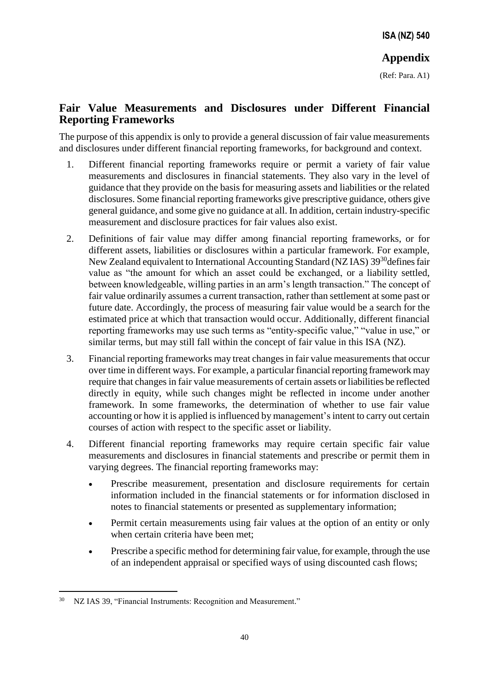(Ref: Para. A1)

# **Fair Value Measurements and Disclosures under Different Financial Reporting Frameworks**

The purpose of this appendix is only to provide a general discussion of fair value measurements and disclosures under different financial reporting frameworks, for background and context.

- 1. Different financial reporting frameworks require or permit a variety of fair value measurements and disclosures in financial statements. They also vary in the level of guidance that they provide on the basis for measuring assets and liabilities or the related disclosures. Some financial reporting frameworks give prescriptive guidance, others give general guidance, and some give no guidance at all. In addition, certain industry-specific measurement and disclosure practices for fair values also exist.
- 2. Definitions of fair value may differ among financial reporting frameworks, or for different assets, liabilities or disclosures within a particular framework. For example, New Zealand equivalent to International Accounting Standard (NZ IAS) 39<sup>30</sup> defines fair value as "the amount for which an asset could be exchanged, or a liability settled, between knowledgeable, willing parties in an arm's length transaction." The concept of fair value ordinarily assumes a current transaction, rather than settlement at some past or future date. Accordingly, the process of measuring fair value would be a search for the estimated price at which that transaction would occur. Additionally, different financial reporting frameworks may use such terms as "entity-specific value," "value in use," or similar terms, but may still fall within the concept of fair value in this ISA (NZ).
- 3. Financial reporting frameworks may treat changes in fair value measurements that occur over time in different ways. For example, a particular financial reporting framework may require that changes in fair value measurements of certain assets or liabilities be reflected directly in equity, while such changes might be reflected in income under another framework. In some frameworks, the determination of whether to use fair value accounting or how it is applied is influenced by management's intent to carry out certain courses of action with respect to the specific asset or liability.
- 4. Different financial reporting frameworks may require certain specific fair value measurements and disclosures in financial statements and prescribe or permit them in varying degrees. The financial reporting frameworks may:
	- Prescribe measurement, presentation and disclosure requirements for certain information included in the financial statements or for information disclosed in notes to financial statements or presented as supplementary information;
	- Permit certain measurements using fair values at the option of an entity or only when certain criteria have been met;
	- Prescribe a specific method for determining fair value, for example, through the use of an independent appraisal or specified ways of using discounted cash flows;

<sup>30</sup> NZ IAS 39, "Financial Instruments: Recognition and Measurement."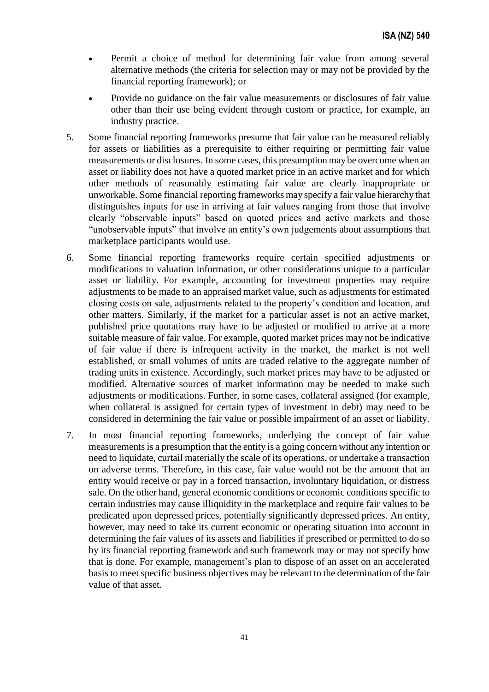- Permit a choice of method for determining fair value from among several alternative methods (the criteria for selection may or may not be provided by the financial reporting framework); or
- Provide no guidance on the fair value measurements or disclosures of fair value other than their use being evident through custom or practice, for example, an industry practice.
- 5. Some financial reporting frameworks presume that fair value can be measured reliably for assets or liabilities as a prerequisite to either requiring or permitting fair value measurements or disclosures. In some cases, this presumption may be overcome when an asset or liability does not have a quoted market price in an active market and for which other methods of reasonably estimating fair value are clearly inappropriate or unworkable. Some financial reporting frameworks may specify a fair value hierarchy that distinguishes inputs for use in arriving at fair values ranging from those that involve clearly "observable inputs" based on quoted prices and active markets and those "unobservable inputs" that involve an entity's own judgements about assumptions that marketplace participants would use.
- 6. Some financial reporting frameworks require certain specified adjustments or modifications to valuation information, or other considerations unique to a particular asset or liability. For example, accounting for investment properties may require adjustments to be made to an appraised market value, such as adjustments for estimated closing costs on sale, adjustments related to the property's condition and location, and other matters. Similarly, if the market for a particular asset is not an active market, published price quotations may have to be adjusted or modified to arrive at a more suitable measure of fair value. For example, quoted market prices may not be indicative of fair value if there is infrequent activity in the market, the market is not well established, or small volumes of units are traded relative to the aggregate number of trading units in existence. Accordingly, such market prices may have to be adjusted or modified. Alternative sources of market information may be needed to make such adjustments or modifications. Further, in some cases, collateral assigned (for example, when collateral is assigned for certain types of investment in debt) may need to be considered in determining the fair value or possible impairment of an asset or liability.
- 7. In most financial reporting frameworks, underlying the concept of fair value measurements is a presumption that the entity is a going concern without any intention or need to liquidate, curtail materially the scale of its operations, or undertake a transaction on adverse terms. Therefore, in this case, fair value would not be the amount that an entity would receive or pay in a forced transaction, involuntary liquidation, or distress sale. On the other hand, general economic conditions or economic conditions specific to certain industries may cause illiquidity in the marketplace and require fair values to be predicated upon depressed prices, potentially significantly depressed prices. An entity, however, may need to take its current economic or operating situation into account in determining the fair values of its assets and liabilities if prescribed or permitted to do so by its financial reporting framework and such framework may or may not specify how that is done. For example, management's plan to dispose of an asset on an accelerated basis to meet specific business objectives may be relevant to the determination of the fair value of that asset.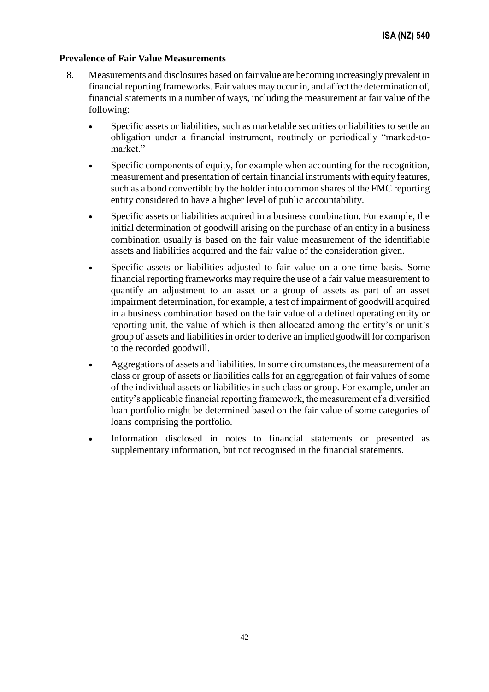#### **Prevalence of Fair Value Measurements**

- 8. Measurements and disclosures based on fair value are becoming increasingly prevalent in financial reporting frameworks. Fair values may occur in, and affect the determination of, financial statements in a number of ways, including the measurement at fair value of the following:
	- Specific assets or liabilities, such as marketable securities or liabilities to settle an obligation under a financial instrument, routinely or periodically "marked-tomarket."
	- Specific components of equity, for example when accounting for the recognition, measurement and presentation of certain financial instruments with equity features, such as a bond convertible by the holder into common shares of the FMC reporting entity considered to have a higher level of public accountability.
	- Specific assets or liabilities acquired in a business combination. For example, the initial determination of goodwill arising on the purchase of an entity in a business combination usually is based on the fair value measurement of the identifiable assets and liabilities acquired and the fair value of the consideration given.
	- Specific assets or liabilities adjusted to fair value on a one-time basis. Some financial reporting frameworks may require the use of a fair value measurement to quantify an adjustment to an asset or a group of assets as part of an asset impairment determination, for example, a test of impairment of goodwill acquired in a business combination based on the fair value of a defined operating entity or reporting unit, the value of which is then allocated among the entity's or unit's group of assets and liabilities in order to derive an implied goodwill for comparison to the recorded goodwill.
	- Aggregations of assets and liabilities. In some circumstances, the measurement of a class or group of assets or liabilities calls for an aggregation of fair values of some of the individual assets or liabilities in such class or group. For example, under an entity's applicable financial reporting framework, the measurement of a diversified loan portfolio might be determined based on the fair value of some categories of loans comprising the portfolio.
	- Information disclosed in notes to financial statements or presented as supplementary information, but not recognised in the financial statements.